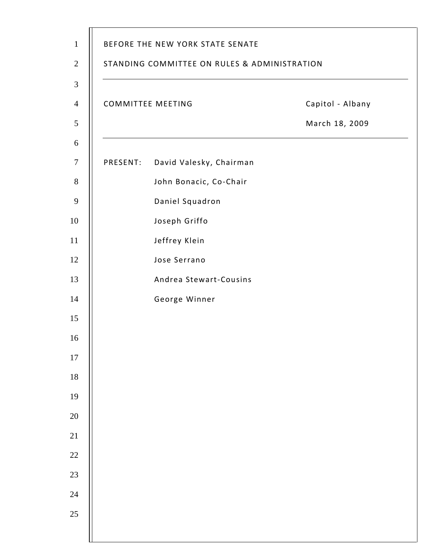|          | <b>COMMITTEE MEETING</b> | Capitol - Albany |
|----------|--------------------------|------------------|
|          |                          | March 18, 2009   |
| PRESENT: | David Valesky, Chairman  |                  |
|          | John Bonacic, Co-Chair   |                  |
|          | Daniel Squadron          |                  |
|          | Joseph Griffo            |                  |
|          | Jeffrey Klein            |                  |
|          | Jose Serrano             |                  |
|          | Andrea Stewart-Cousins   |                  |
|          | George Winner            |                  |
|          |                          |                  |
|          |                          |                  |
|          |                          |                  |
|          |                          |                  |
|          |                          |                  |
|          |                          |                  |
|          |                          |                  |
|          |                          |                  |
|          |                          |                  |
|          |                          |                  |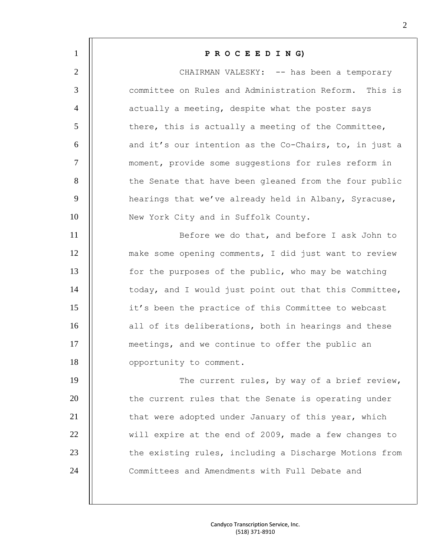| $\mathbf{1}$   | PROCEEDING)                                            |
|----------------|--------------------------------------------------------|
| $\overline{2}$ | CHAIRMAN VALESKY: -- has been a temporary              |
| $\mathfrak{Z}$ | committee on Rules and Administration Reform. This is  |
| $\overline{4}$ | actually a meeting, despite what the poster says       |
| 5              | there, this is actually a meeting of the Committee,    |
| 6              | and it's our intention as the Co-Chairs, to, in just a |
| $\tau$         | moment, provide some suggestions for rules reform in   |
| 8              | the Senate that have been gleaned from the four public |
| 9              | hearings that we've already held in Albany, Syracuse,  |
| 10             | New York City and in Suffolk County.                   |
| 11             | Before we do that, and before I ask John to            |
| 12             | make some opening comments, I did just want to review  |
| 13             | for the purposes of the public, who may be watching    |
| 14             | today, and I would just point out that this Committee, |
| 15             | it's been the practice of this Committee to webcast    |
| 16             | all of its deliberations, both in hearings and these   |
| 17             | meetings, and we continue to offer the public an       |
| 18             | opportunity to comment.                                |
| 19             | The current rules, by way of a brief review,           |
| 20             | the current rules that the Senate is operating under   |
| 21             | that were adopted under January of this year, which    |
| 22             | will expire at the end of 2009, made a few changes to  |
| 23             | the existing rules, including a Discharge Motions from |
| 24             | Committees and Amendments with Full Debate and         |
|                |                                                        |
|                |                                                        |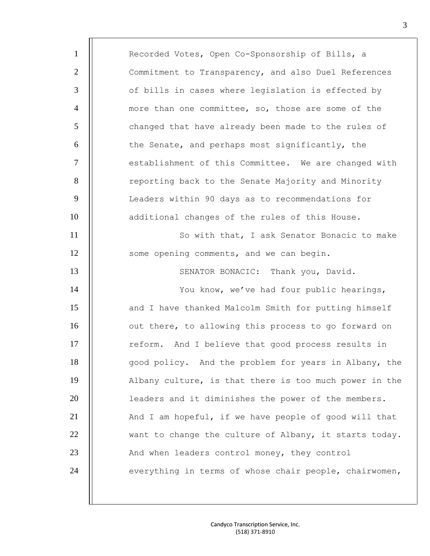1 | Recorded Votes, Open Co-Sponsorship of Bills, a 2 | Commitment to Transparency, and also Duel References 3 | of bills in cases where legislation is effected by 4  $\parallel$  more than one committee, so, those are some of the 5 | changed that have already been made to the rules of 6 | the Senate, and perhaps most significantly, the 7 | establishment of this Committee. We are changed with 8 | reporting back to the Senate Majority and Minority 9 | Leaders within 90 days as to recommendations for 10 | additional changes of the rules of this House. 11 So with that, I ask Senator Bonacic to make 12 | some opening comments, and we can begin. 13 | SENATOR BONACIC: Thank you, David. 14 | You know, we've had four public hearings, 15 | and I have thanked Malcolm Smith for putting himself 16 **1** out there, to allowing this process to go forward on 17 | reform. And I believe that good process results in 18 **d** opod policy. And the problem for years in Albany, the 19 Albany culture, is that there is too much power in the 20 leaders and it diminishes the power of the members. 21  $\parallel$  And I am hopeful, if we have people of good will that  $22$   $\parallel$  want to change the culture of Albany, it starts today. 23 | And when leaders control money, they control 24 | everything in terms of whose chair people, chairwomen,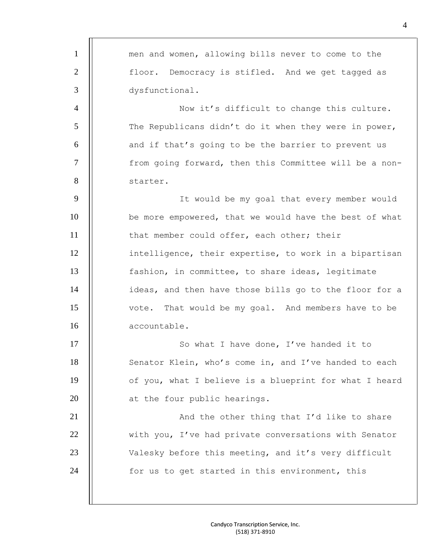| $\mathbf{1}$   | men and women, allowing bills never to come to the     |
|----------------|--------------------------------------------------------|
| $\overline{2}$ | floor. Democracy is stifled. And we get tagged as      |
| 3              | dysfunctional.                                         |
| $\overline{4}$ | Now it's difficult to change this culture.             |
| 5              | The Republicans didn't do it when they were in power,  |
| 6              | and if that's going to be the barrier to prevent us    |
| $\tau$         | from going forward, then this Committee will be a non- |
| 8              | starter.                                               |
| 9              | It would be my goal that every member would            |
| 10             | be more empowered, that we would have the best of what |
| 11             | that member could offer, each other; their             |
| 12             | intelligence, their expertise, to work in a bipartisan |
| 13             | fashion, in committee, to share ideas, legitimate      |
| 14             | ideas, and then have those bills go to the floor for a |
| 15             | vote. That would be my goal. And members have to be    |
| 16             | accountable.                                           |
| 17             | So what I have done, I've handed it to                 |
| 18             | Senator Klein, who's come in, and I've handed to each  |
| 19             | of you, what I believe is a blueprint for what I heard |
| 20             | at the four public hearings.                           |
| 21             | And the other thing that I'd like to share             |
| 22             | with you, I've had private conversations with Senator  |
| 23             | Valesky before this meeting, and it's very difficult   |
| 24             | for us to get started in this environment, this        |
|                |                                                        |
|                |                                                        |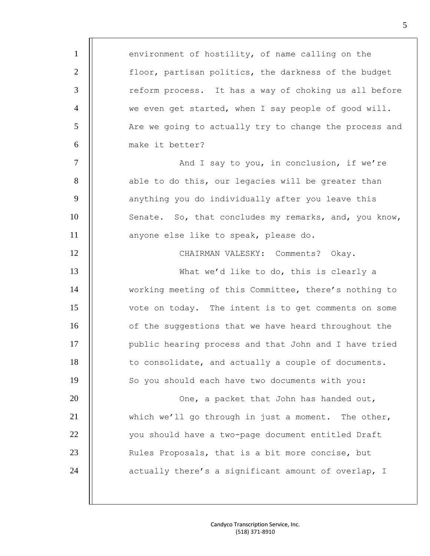1 | environment of hostility, of name calling on the 2 | floor, partisan politics, the darkness of the budget 3 | reform process. It has a way of choking us all before 4 | we even get started, when I say people of good will. 5 | Are we going to actually try to change the process and 6 make it better? 7 | And I say to you, in conclusion, if we're 8 | able to do this, our legacies will be greater than 9 | | anything you do individually after you leave this 10 | Senate. So, that concludes my remarks, and, you know, 11 anyone else like to speak, please do. 12 CHAIRMAN VALESKY: Comments? Okay. 13 **What we'd like to do, this is clearly a** 14 | working meeting of this Committee, there's nothing to 15 vote on today. The intent is to get comments on some 16 | of the suggestions that we have heard throughout the 17 | public hearing process and that John and I have tried 18 | to consolidate, and actually a couple of documents. 19 | So you should each have two documents with you: 20 || Che, a packet that John has handed out, 21  $\parallel$  which we'll go through in just a moment. The other, 22 | vou should have a two-page document entitled Draft 23 | Rules Proposals, that is a bit more concise, but 24 | | actually there's a significant amount of overlap, I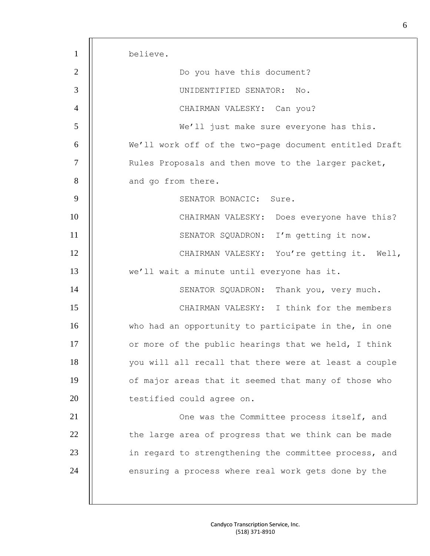1 believe. 2 | | Do you have this document? 3 UNIDENTIFIED SENATOR: No. 4 || CHAIRMAN VALESKY: Can you? 5 We'll just make sure everyone has this. 6 We'll work off of the two-page document entitled Draft 7 | Rules Proposals and then move to the larger packet, 8 **and go from there.** 9 | SENATOR BONACIC: Sure. 10 CHAIRMAN VALESKY: Does everyone have this? 11 | | SENATOR SQUADRON: I'm getting it now. 12 | CHAIRMAN VALESKY: You're getting it. Well, 13 we'll wait a minute until everyone has it. 14 | SENATOR SQUADRON: Thank you, very much. 15 CHAIRMAN VALESKY: I think for the members 16 Who had an opportunity to participate in the, in one 17  $\parallel$  or more of the public hearings that we held, I think 18 | vou will all recall that there were at least a couple 19 | of major areas that it seemed that many of those who 20 | testified could agree on. 21 | One was the Committee process itself, and  $22$   $||$  the large area of progress that we think can be made 23 | in regard to strengthening the committee process, and 24 | ensuring a process where real work gets done by the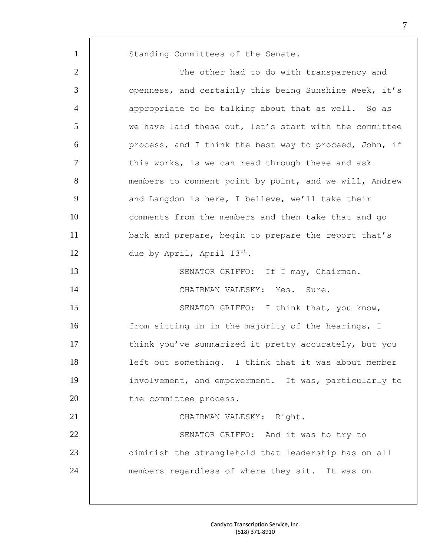| $\mathbf{1}$   | Standing Committees of the Senate.                     |
|----------------|--------------------------------------------------------|
| $\overline{2}$ | The other had to do with transparency and              |
| 3              | openness, and certainly this being Sunshine Week, it's |
| $\overline{4}$ | appropriate to be talking about that as well. So as    |
| 5              | we have laid these out, let's start with the committee |
| 6              | process, and I think the best way to proceed, John, if |
| 7              | this works, is we can read through these and ask       |
| 8              | members to comment point by point, and we will, Andrew |
| 9              | and Langdon is here, I believe, we'll take their       |
| 10             | comments from the members and then take that and go    |
| 11             | back and prepare, begin to prepare the report that's   |
| 12             | due by April, April 13 <sup>th</sup> .                 |
| 13             | SENATOR GRIFFO: If I may, Chairman.                    |
| 14             | CHAIRMAN VALESKY: Yes. Sure.                           |
| 15             | SENATOR GRIFFO: I think that, you know,                |
| 16             | from sitting in in the majority of the hearings, I     |
| 17             | think you've summarized it pretty accurately, but you  |
| 18             | left out something. I think that it was about member   |
| 19             | involvement, and empowerment. It was, particularly to  |
| 20             | the committee process.                                 |
| 21             | CHAIRMAN VALESKY: Right.                               |
| 22             | SENATOR GRIFFO: And it was to try to                   |
| 23             | diminish the stranglehold that leadership has on all   |
| 24             | members regardless of where they sit. It was on        |
|                |                                                        |
|                |                                                        |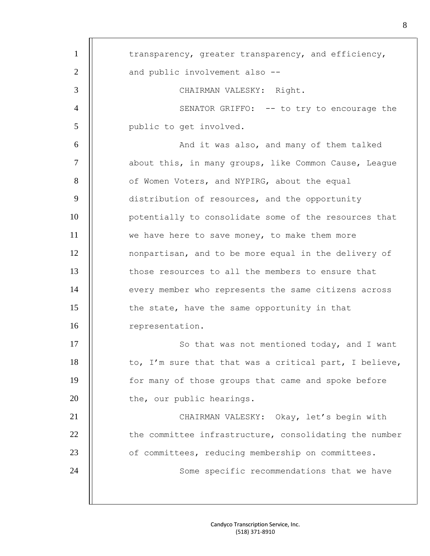| $\mathbf{1}$   | transparency, greater transparency, and efficiency,    |
|----------------|--------------------------------------------------------|
| $\overline{2}$ | and public involvement also --                         |
| 3              | CHAIRMAN VALESKY: Right.                               |
| $\overline{4}$ | SENATOR GRIFFO: -- to try to encourage the             |
| 5              | public to get involved.                                |
| 6              | And it was also, and many of them talked               |
| 7              | about this, in many groups, like Common Cause, League  |
| 8              | of Women Voters, and NYPIRG, about the equal           |
| 9              | distribution of resources, and the opportunity         |
| 10             | potentially to consolidate some of the resources that  |
| 11             | we have here to save money, to make them more          |
| 12             | nonpartisan, and to be more equal in the delivery of   |
| 13             | those resources to all the members to ensure that      |
| 14             | every member who represents the same citizens across   |
| 15             | the state, have the same opportunity in that           |
| 16             | representation.                                        |
| 17             | So that was not mentioned today, and I want            |
| 18             | to, I'm sure that that was a critical part, I believe, |
| 19             | for many of those groups that came and spoke before    |
| 20             | the, our public hearings.                              |
| 21             | CHAIRMAN VALESKY: Okay, let's begin with               |
| 22             | the committee infrastructure, consolidating the number |
| 23             | of committees, reducing membership on committees.      |
| 24             | Some specific recommendations that we have             |
|                |                                                        |
|                |                                                        |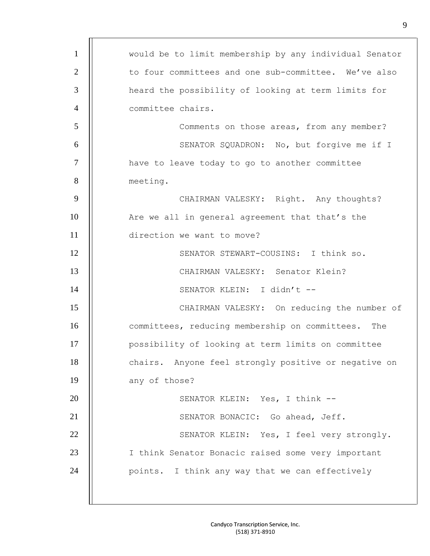| $\mathbf{1}$   | would be to limit membership by any individual Senator |
|----------------|--------------------------------------------------------|
| $\overline{2}$ | to four committees and one sub-committee. We've also   |
| 3              | heard the possibility of looking at term limits for    |
| $\overline{4}$ | committee chairs.                                      |
| 5              | Comments on those areas, from any member?              |
| 6              | SENATOR SQUADRON: No, but forgive me if I              |
| $\tau$         | have to leave today to go to another committee         |
| 8              | meeting.                                               |
| 9              | CHAIRMAN VALESKY: Right. Any thoughts?                 |
| 10             | Are we all in general agreement that that's the        |
| 11             | direction we want to move?                             |
| 12             | SENATOR STEWART-COUSINS: I think so.                   |
| 13             | CHAIRMAN VALESKY: Senator Klein?                       |
| 14             | SENATOR KLEIN: I didn't --                             |
| 15             | CHAIRMAN VALESKY: On reducing the number of            |
| 16             | committees, reducing membership on committees. The     |
| 17             | possibility of looking at term limits on committee     |
| 18             | chairs. Anyone feel strongly positive or negative on   |
| 19             | any of those?                                          |
| 20             | SENATOR KLEIN: Yes, I think --                         |
| 21             | SENATOR BONACIC: Go ahead, Jeff.                       |
| 22             | SENATOR KLEIN: Yes, I feel very strongly.              |
| 23             | I think Senator Bonacic raised some very important     |
| 24             | points. I think any way that we can effectively        |
|                |                                                        |
|                |                                                        |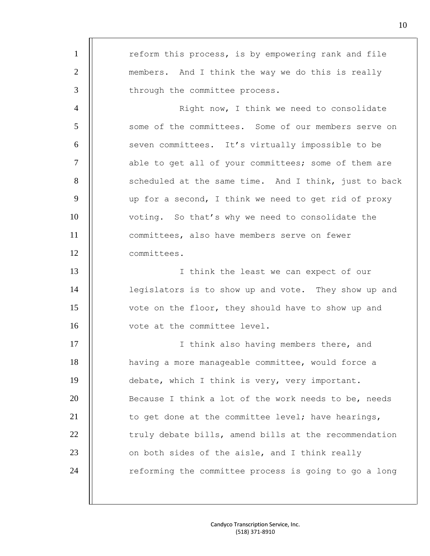1 | reform this process, is by empowering rank and file 2 | members. And I think the way we do this is really 3 | through the committee process. 4 | North How, I think we need to consolidate 5 | some of the committees. Some of our members serve on 6 | seven committees. It's virtually impossible to be 7 | able to get all of your committees; some of them are 8 | scheduled at the same time. And I think, just to back  $9$  | up for a second, I think we need to get rid of proxy 10 | voting. So that's why we need to consolidate the 11 committees, also have members serve on fewer 12 committees. 13 || I think the least we can expect of our 14 | legislators is to show up and vote. They show up and 15 | vote on the floor, they should have to show up and 16 | vote at the committee level. 17 I think also having members there, and 18 having a more manageable committee, would force a 19 | debate, which I think is very, very important. 20 **Because I** think a lot of the work needs to be, needs 21  $\parallel$  to get done at the committee level; have hearings, 22 | truly debate bills, amend bills at the recommendation  $23$   $\parallel$  on both sides of the aisle, and I think really 24 | reforming the committee process is going to go a long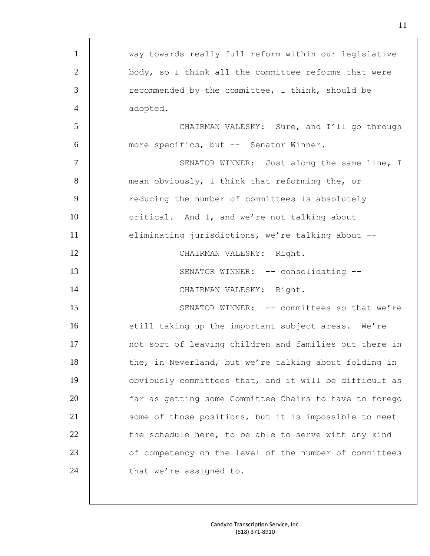| $\mathbf{1}$   | way towards really full reform within our legislative  |
|----------------|--------------------------------------------------------|
| $\overline{2}$ | body, so I think all the committee reforms that were   |
| 3              | recommended by the committee, I think, should be       |
| $\overline{4}$ | adopted.                                               |
| 5              | CHAIRMAN VALESKY: Sure, and I'll go through            |
| 6              | more specifics, but -- Senator Winner.                 |
| $\tau$         | SENATOR WINNER: Just along the same line, I            |
| 8              | mean obviously, I think that reforming the, or         |
| 9              | reducing the number of committees is absolutely        |
| 10             | critical. And I, and we're not talking about           |
| 11             | eliminating jurisdictions, we're talking about --      |
| 12             | CHAIRMAN VALESKY: Right.                               |
| 13             | SENATOR WINNER: -- consolidating --                    |
| 14             | CHAIRMAN VALESKY: Right.                               |
| 15             | SENATOR WINNER: -- committees so that we're            |
| 16             | still taking up the important subject areas. We're     |
| 17             | not sort of leaving children and families out there in |
| 18             | the, in Neverland, but we're talking about folding in  |
| 19             | obviously committees that, and it will be difficult as |
| 20             | far as getting some Committee Chairs to have to forego |
| 21             | some of those positions, but it is impossible to meet  |
| 22             | the schedule here, to be able to serve with any kind   |
| 23             | of competency on the level of the number of committees |
| 24             | that we're assigned to.                                |
|                |                                                        |
|                |                                                        |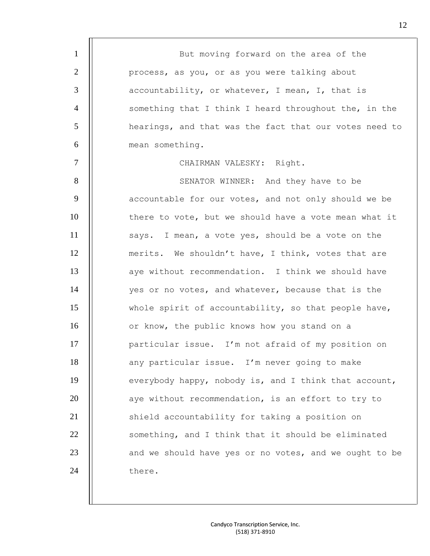1 | But moving forward on the area of the 2 | process, as you, or as you were talking about  $3$  |  $\vert$  accountability, or whatever, I mean, I, that is 4 || something that I think I heard throughout the, in the 5 **h** hearings, and that was the fact that our votes need to 6 **6** mean something. 7 | CHAIRMAN VALESKY: Right. 8 | SENATOR WINNER: And they have to be  $9$   $\parallel$  accountable for our votes, and not only should we be 10 | there to vote, but we should have a vote mean what it 11 | says. I mean, a vote yes, should be a vote on the 12 | merits. We shouldn't have, I think, votes that are 13 | aye without recommendation. I think we should have 14 | ves or no votes, and whatever, because that is the 15 | whole spirit of accountability, so that people have, 16 | or know, the public knows how you stand on a 17 | particular issue. I'm not afraid of my position on 18 | any particular issue. I'm never going to make 19 | everybody happy, nobody is, and I think that account, 20 | aye without recommendation, is an effort to try to 21 | Shield accountability for taking a position on 22 | something, and I think that it should be eliminated  $23$   $\parallel$  and we should have yes or no votes, and we ought to be 24 | there.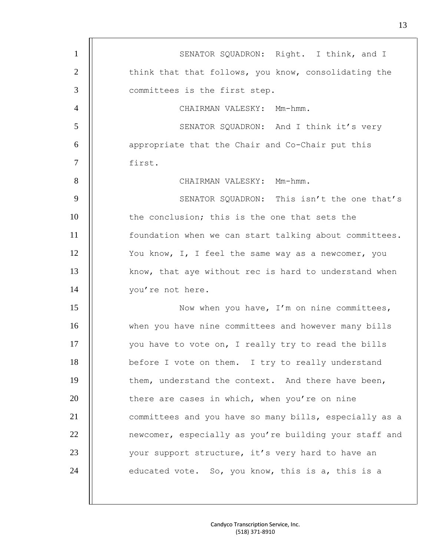| $\mathbf{1}$   | SENATOR SQUADRON: Right. I think, and I                |
|----------------|--------------------------------------------------------|
| $\overline{2}$ | think that that follows, you know, consolidating the   |
| 3              | committees is the first step.                          |
| $\overline{4}$ | CHAIRMAN VALESKY: Mm-hmm.                              |
| 5              | SENATOR SQUADRON: And I think it's very                |
| 6              | appropriate that the Chair and Co-Chair put this       |
| $\overline{7}$ | first.                                                 |
| 8              | CHAIRMAN VALESKY: Mm-hmm.                              |
| 9              | SENATOR SQUADRON: This isn't the one that's            |
| 10             | the conclusion; this is the one that sets the          |
| 11             | foundation when we can start talking about committees. |
| 12             | You know, I, I feel the same way as a newcomer, you    |
| 13             | know, that aye without rec is hard to understand when  |
| 14             | you're not here.                                       |
| 15             | Now when you have, I'm on nine committees,             |
| 16             | when you have nine committees and however many bills   |
| 17             | you have to vote on, I really try to read the bills    |
| 18             | before I vote on them. I try to really understand      |
| 19             | them, understand the context. And there have been,     |
| 20             | there are cases in which, when you're on nine          |
| 21             | committees and you have so many bills, especially as a |
| 22             | newcomer, especially as you're building your staff and |
| 23             | your support structure, it's very hard to have an      |
| 24             | educated vote. So, you know, this is a, this is a      |
|                |                                                        |
|                |                                                        |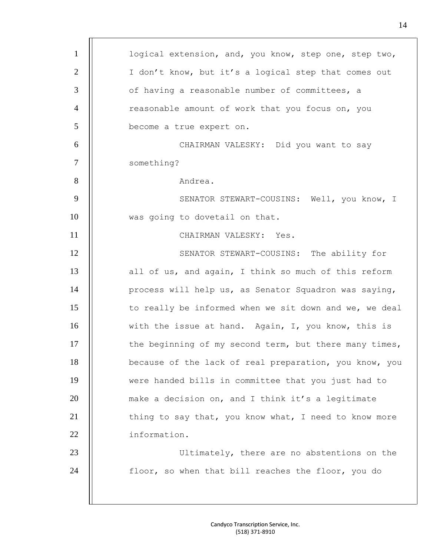| $\mathbf{1}$   | logical extension, and, you know, step one, step two,  |
|----------------|--------------------------------------------------------|
| $\mathbf{2}$   | I don't know, but it's a logical step that comes out   |
| 3              | of having a reasonable number of committees, a         |
| $\overline{4}$ | reasonable amount of work that you focus on, you       |
| 5              | become a true expert on.                               |
| 6              | CHAIRMAN VALESKY: Did you want to say                  |
| $\tau$         | something?                                             |
| 8              | Andrea.                                                |
| 9              | SENATOR STEWART-COUSINS: Well, you know, I             |
| 10             | was going to dovetail on that.                         |
| 11             | CHAIRMAN VALESKY: Yes.                                 |
| 12             | SENATOR STEWART-COUSINS: The ability for               |
| 13             | all of us, and again, I think so much of this reform   |
| 14             | process will help us, as Senator Squadron was saying,  |
| 15             | to really be informed when we sit down and we, we deal |
| 16             | with the issue at hand. Again, I, you know, this is    |
| 17             | the beginning of my second term, but there many times, |
| 18             | because of the lack of real preparation, you know, you |
| 19             | were handed bills in committee that you just had to    |
| 20             | make a decision on, and I think it's a legitimate      |
| 21             | thing to say that, you know what, I need to know more  |
| 22             | information.                                           |
| 23             | Ultimately, there are no abstentions on the            |
| 24             | floor, so when that bill reaches the floor, you do     |
|                |                                                        |
|                |                                                        |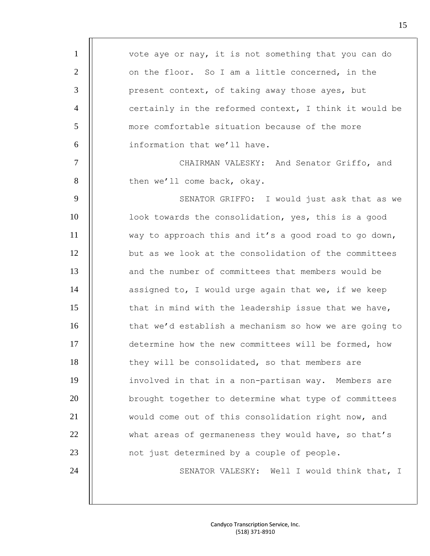1 | vote aye or nay, it is not something that you can do 2 | on the floor. So I am a little concerned, in the  $3$  | present context, of taking away those ayes, but 4  $\parallel$  certainly in the reformed context, I think it would be 5 more comfortable situation because of the more 6 information that we'll have. 7 | CHAIRMAN VALESKY: And Senator Griffo, and 8 | then we'll come back, okay. 9 | SENATOR GRIFFO: I would just ask that as we 10 | look towards the consolidation, yes, this is a good 11 way to approach this and it's a good road to go down, 12 **but** as we look at the consolidation of the committees 13 || and the number of committees that members would be 14  $\parallel$  assigned to, I would urge again that we, if we keep 15 | that in mind with the leadership issue that we have, 16 **that we'd establish a mechanism so how we are going to** 17 determine how the new committees will be formed, how 18 | they will be consolidated, so that members are 19 | involved in that in a non-partisan way. Members are 20 | brought together to determine what type of committees 21 | would come out of this consolidation right now, and 22 | what areas of germaneness they would have, so that's 23 | not just determined by a couple of people. 24 | | SENATOR VALESKY: Well I would think that, I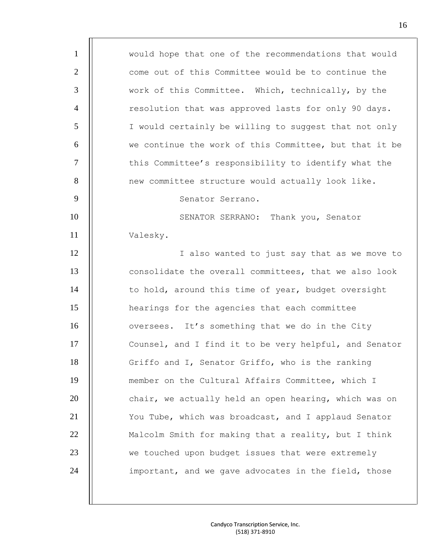1 | would hope that one of the recommendations that would 2  $\parallel$  come out of this Committee would be to continue the 3 work of this Committee. Which, technically, by the 4 | resolution that was approved lasts for only 90 days. 5 | I would certainly be willing to suggest that not only  $\begin{array}{c|c|c|c|c|c} \hline \bullet\end{array}$  we continue the work of this Committee, but that it be 7 | this Committee's responsibility to identify what the 8 | new committee structure would actually look like. 9 | Senator Serrano. 10 **SENATOR SERRANO:** Thank you, Senator 11 Valesky. 12 I also wanted to just say that as we move to 13 **consolidate the overall committees, that we also look** 14 | to hold, around this time of year, budget oversight 15 hearings for the agencies that each committee 16 | oversees. It's something that we do in the City 17 | Counsel, and I find it to be very helpful, and Senator 18 | Griffo and I, Senator Griffo, who is the ranking 19 member on the Cultural Affairs Committee, which I 20 | chair, we actually held an open hearing, which was on 21 | You Tube, which was broadcast, and I applaud Senator 22 | Malcolm Smith for making that a reality, but I think 23 | we touched upon budget issues that were extremely 24 | important, and we gave advocates in the field, those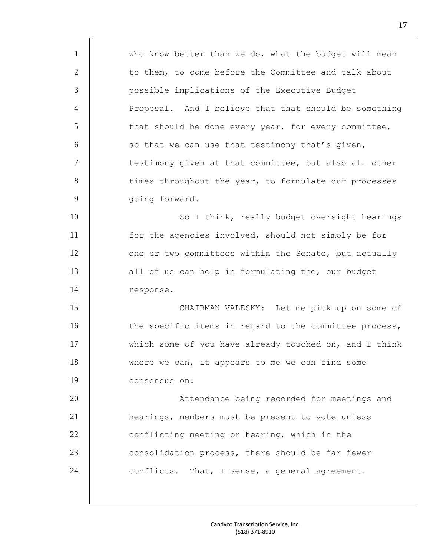1 | who know better than we do, what the budget will mean 2 | to them, to come before the Committee and talk about 3 | possible implications of the Executive Budget 4 | Proposal. And I believe that that should be something  $5$   $\parallel$  that should be done every year, for every committee,  $6$   $\parallel$  so that we can use that testimony that's given, 7 | testimony given at that committee, but also all other 8 | times throughout the year, to formulate our processes 9 | qoing forward. 10 || So I think, really budget oversight hearings 11 for the agencies involved, should not simply be for 12 | one or two committees within the Senate, but actually 13 | all of us can help in formulating the, our budget 14 | response. 15 CHAIRMAN VALESKY: Let me pick up on some of 16 | the specific items in regard to the committee process, 17 | which some of you have already touched on, and I think 18 | where we can, it appears to me we can find some 19 consensus on: 20 || Attendance being recorded for meetings and 21 | hearings, members must be present to vote unless 22 | conflicting meeting or hearing, which in the 23 | consolidation process, there should be far fewer  $24$  || conflicts. That, I sense, a general agreement.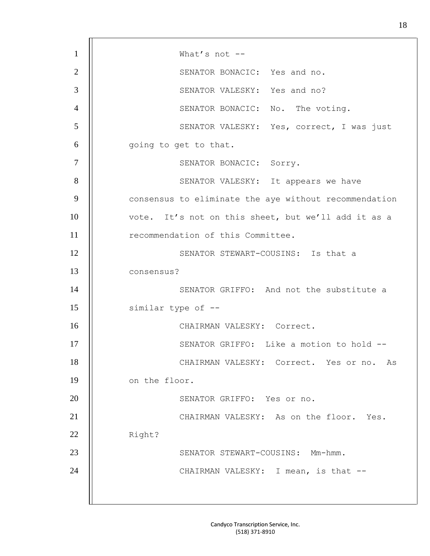| $\mathbf{1}$   | What's not $--$                                       |
|----------------|-------------------------------------------------------|
| $\overline{2}$ | SENATOR BONACIC: Yes and no.                          |
| 3              | SENATOR VALESKY: Yes and no?                          |
| $\overline{4}$ | SENATOR BONACIC: No. The voting.                      |
| 5              | SENATOR VALESKY: Yes, correct, I was just             |
| 6              | going to get to that.                                 |
| $\overline{7}$ | SENATOR BONACIC: Sorry.                               |
| 8              | SENATOR VALESKY: It appears we have                   |
| 9              | consensus to eliminate the aye without recommendation |
| 10             | vote. It's not on this sheet, but we'll add it as a   |
| 11             | recommendation of this Committee.                     |
| 12             | SENATOR STEWART-COUSINS: Is that a                    |
| 13             | consensus?                                            |
| 14             | SENATOR GRIFFO: And not the substitute a              |
| 15             | similar type of --                                    |
| 16             | CHAIRMAN VALESKY: Correct.                            |
| 17             | SENATOR GRIFFO: Like a motion to hold --              |
| 18             | CHAIRMAN VALESKY: Correct. Yes or no. As              |
| 19             | on the floor.                                         |
| 20             | SENATOR GRIFFO: Yes or no.                            |
| 21             | CHAIRMAN VALESKY: As on the floor. Yes.               |
| 22             | Right?                                                |
| 23             | SENATOR STEWART-COUSINS: Mm-hmm.                      |
| 24             | CHAIRMAN VALESKY: I mean, is that --                  |
|                |                                                       |
|                |                                                       |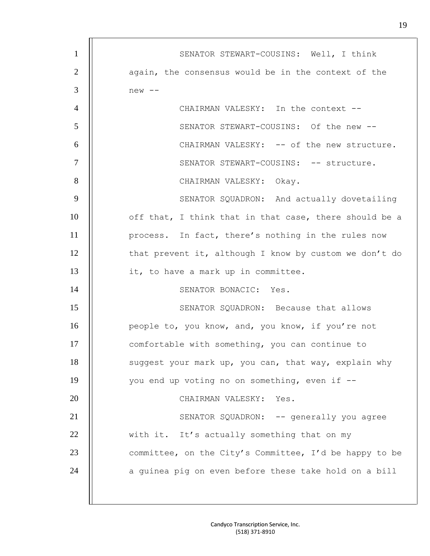| $\mathbf{1}$   | SENATOR STEWART-COUSINS: Well, I think                 |
|----------------|--------------------------------------------------------|
| $\overline{2}$ | again, the consensus would be in the context of the    |
| 3              | new --                                                 |
| $\overline{4}$ | CHAIRMAN VALESKY: In the context --                    |
| 5              | SENATOR STEWART-COUSINS: Of the new --                 |
| 6              | CHAIRMAN VALESKY: -- of the new structure.             |
| $\tau$         | SENATOR STEWART-COUSINS: -- structure.                 |
| 8              | CHAIRMAN VALESKY: Okay.                                |
| 9              | SENATOR SQUADRON: And actually dovetailing             |
| 10             | off that, I think that in that case, there should be a |
| 11             | process. In fact, there's nothing in the rules now     |
| 12             | that prevent it, although I know by custom we don't do |
| 13             | it, to have a mark up in committee.                    |
| 14             | SENATOR BONACIC: Yes.                                  |
| 15             | SENATOR SQUADRON: Because that allows                  |
| 16             | people to, you know, and, you know, if you're not      |
| 17             | comfortable with something, you can continue to        |
| 18             | suggest your mark up, you can, that way, explain why   |
| 19             | you end up voting no on something, even if --          |
| 20             | CHAIRMAN VALESKY: Yes.                                 |
| 21             | SENATOR SQUADRON: -- generally you agree               |
| 22             | with it. It's actually something that on my            |
| 23             | committee, on the City's Committee, I'd be happy to be |
| 24             | a guinea pig on even before these take hold on a bill  |
|                |                                                        |
|                |                                                        |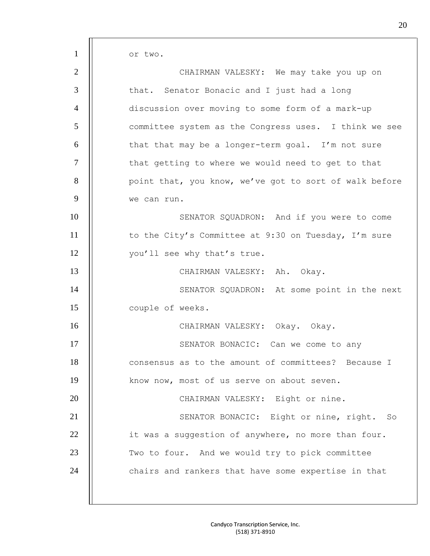or two.

| $\overline{2}$ | CHAIRMAN VALESKY: We may take you up on                |
|----------------|--------------------------------------------------------|
| 3              | that. Senator Bonacic and I just had a long            |
| $\overline{4}$ | discussion over moving to some form of a mark-up       |
| 5              | committee system as the Congress uses. I think we see  |
| 6              | that that may be a longer-term goal. I'm not sure      |
| $\overline{7}$ | that getting to where we would need to get to that     |
| 8              | point that, you know, we've got to sort of walk before |
| 9              | we can run.                                            |
| 10             | SENATOR SQUADRON: And if you were to come              |
| 11             | to the City's Committee at 9:30 on Tuesday, I'm sure   |
| 12             | you'll see why that's true.                            |
| 13             | CHAIRMAN VALESKY: Ah. Okay.                            |
| 14             | SENATOR SQUADRON: At some point in the next            |
| 15             | couple of weeks.                                       |
| 16             | CHAIRMAN VALESKY: Okay. Okay.                          |
| 17             | SENATOR BONACIC: Can we come to any                    |
| 18             | consensus as to the amount of committees? Because I    |
| 19             | know now, most of us serve on about seven.             |
| 20             | CHAIRMAN VALESKY: Eight or nine.                       |
| 21             | SENATOR BONACIC: Eight or nine, right. So              |
| 22             | it was a suggestion of anywhere, no more than four.    |
| 23             | Two to four. And we would try to pick committee        |
| 24             | chairs and rankers that have some expertise in that    |
|                |                                                        |
|                |                                                        |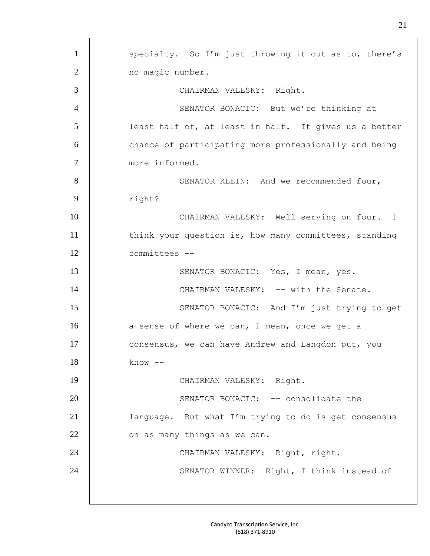| $\mathbf{1}$   | specialty. So I'm just throwing it out as to, there's |
|----------------|-------------------------------------------------------|
| $\overline{2}$ | no magic number.                                      |
| 3              | CHAIRMAN VALESKY: Right.                              |
| $\overline{4}$ | SENATOR BONACIC: But we're thinking at                |
| 5              | least half of, at least in half. It gives us a better |
| 6              | chance of participating more professionally and being |
| $\overline{7}$ | more informed.                                        |
| 8              | SENATOR KLEIN: And we recommended four,               |
| 9              | right?                                                |
| 10             | CHAIRMAN VALESKY: Well serving on four. I             |
| 11             | think your question is, how many committees, standing |
| 12             | committees --                                         |
| 13             | SENATOR BONACIC: Yes, I mean, yes.                    |
| 14             | CHAIRMAN VALESKY: -- with the Senate.                 |
| 15             | SENATOR BONACIC: And I'm just trying to get           |
| 16             | a sense of where we can, I mean, once we get a        |
| 17             | consensus, we can have Andrew and Langdon put, you    |
| 18             | $know --$                                             |
| 19             | CHAIRMAN VALESKY: Right.                              |
| 20             | SENATOR BONACIC: -- consolidate the                   |
| 21             | language. But what I'm trying to do is get consensus  |
| 22             | on as many things as we can.                          |
| 23             | CHAIRMAN VALESKY: Right, right.                       |
| 24             | SENATOR WINNER: Right, I think instead of             |
|                |                                                       |
|                |                                                       |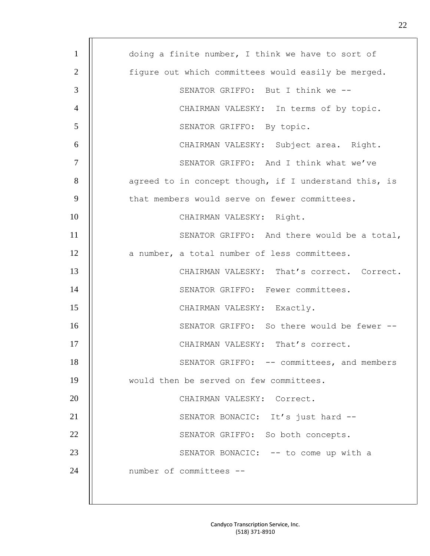| $\mathbf{1}$   | doing a finite number, I think we have to sort of     |
|----------------|-------------------------------------------------------|
| 2              | figure out which committees would easily be merged.   |
| 3              | SENATOR GRIFFO: But I think we --                     |
| $\overline{4}$ | CHAIRMAN VALESKY: In terms of by topic.               |
| 5              | SENATOR GRIFFO: By topic.                             |
| 6              | CHAIRMAN VALESKY: Subject area. Right.                |
| $\overline{7}$ | SENATOR GRIFFO: And I think what we've                |
| 8              | agreed to in concept though, if I understand this, is |
| 9              | that members would serve on fewer committees.         |
| 10             | CHAIRMAN VALESKY: Right.                              |
| 11             | SENATOR GRIFFO: And there would be a total,           |
| 12             | a number, a total number of less committees.          |
| 13             | CHAIRMAN VALESKY: That's correct. Correct.            |
| 14             | SENATOR GRIFFO: Fewer committees.                     |
| 15             | CHAIRMAN VALESKY: Exactly.                            |
| 16             | SENATOR GRIFFO: So there would be fewer --            |
| 17             | CHAIRMAN VALESKY: That's correct.                     |
| 18             | SENATOR GRIFFO: -- committees, and members            |
| 19             | would then be served on few committees.               |
| 20             | CHAIRMAN VALESKY: Correct.                            |
| 21             | SENATOR BONACIC: It's just hard --                    |
| 22             | SENATOR GRIFFO: So both concepts.                     |
| 23             | SENATOR BONACIC: -- to come up with a                 |
| 24             | number of committees --                               |
|                |                                                       |
|                |                                                       |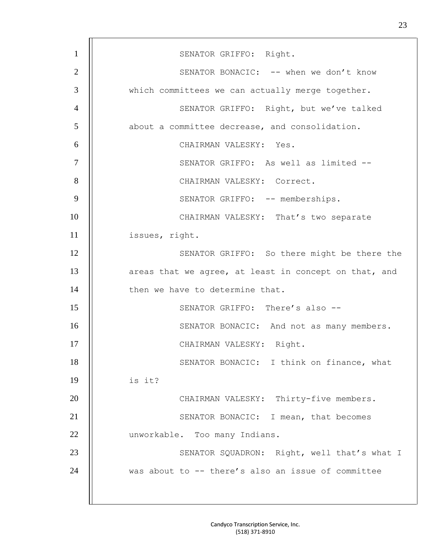| $\mathbf{1}$   | SENATOR GRIFFO: Right.                                |
|----------------|-------------------------------------------------------|
| $\mathbf{2}$   | SENATOR BONACIC: -- when we don't know                |
| 3              | which committees we can actually merge together.      |
| $\overline{4}$ | SENATOR GRIFFO: Right, but we've talked               |
| 5              | about a committee decrease, and consolidation.        |
| 6              | CHAIRMAN VALESKY: Yes.                                |
| $\tau$         | SENATOR GRIFFO: As well as limited --                 |
| 8              | CHAIRMAN VALESKY: Correct.                            |
| 9              | SENATOR GRIFFO: -- memberships.                       |
| 10             | CHAIRMAN VALESKY: That's two separate                 |
| 11             | issues, right.                                        |
| 12             | SENATOR GRIFFO: So there might be there the           |
| 13             | areas that we agree, at least in concept on that, and |
| 14             | then we have to determine that.                       |
| 15             | SENATOR GRIFFO: There's also --                       |
| 16             | SENATOR BONACIC: And not as many members.             |
| 17             | CHAIRMAN VALESKY: Right.                              |
| 18             | SENATOR BONACIC: I think on finance, what             |
| 19             | is it?                                                |
| 20             | CHAIRMAN VALESKY: Thirty-five members.                |
| 21             | SENATOR BONACIC: I mean, that becomes                 |
| 22             | unworkable. Too many Indians.                         |
| 23             | SENATOR SQUADRON: Right, well that's what I           |
| 24             | was about to -- there's also an issue of committee    |
|                |                                                       |
|                |                                                       |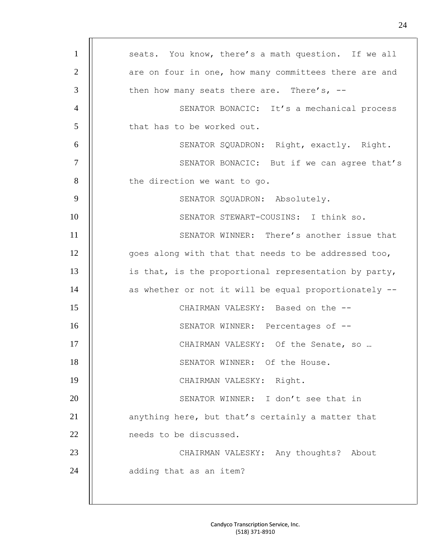| $\mathbf{1}$   | seats. You know, there's a math question. If we all   |
|----------------|-------------------------------------------------------|
| $\overline{2}$ | are on four in one, how many committees there are and |
| 3              | then how many seats there are. There's, $--$          |
| $\overline{4}$ | SENATOR BONACIC: It's a mechanical process            |
| 5              | that has to be worked out.                            |
| 6              | SENATOR SQUADRON: Right, exactly. Right.              |
| $\overline{7}$ | SENATOR BONACIC: But if we can agree that's           |
| 8              | the direction we want to go.                          |
| 9              | SENATOR SQUADRON: Absolutely.                         |
| 10             | SENATOR STEWART-COUSINS: I think so.                  |
| 11             | SENATOR WINNER: There's another issue that            |
| 12             | goes along with that that needs to be addressed too,  |
| 13             | is that, is the proportional representation by party, |
| 14             | as whether or not it will be equal proportionately -- |
| 15             | CHAIRMAN VALESKY: Based on the --                     |
| 16             | SENATOR WINNER: Percentages of --                     |
| 17             | CHAIRMAN VALESKY: Of the Senate, so                   |
| 18             | SENATOR WINNER: Of the House.                         |
| 19             | CHAIRMAN VALESKY: Right.                              |
| 20             | SENATOR WINNER: I don't see that in                   |
| 21             | anything here, but that's certainly a matter that     |
| 22             | needs to be discussed.                                |
| 23             | CHAIRMAN VALESKY: Any thoughts? About                 |
| 24             | adding that as an item?                               |
|                |                                                       |
|                |                                                       |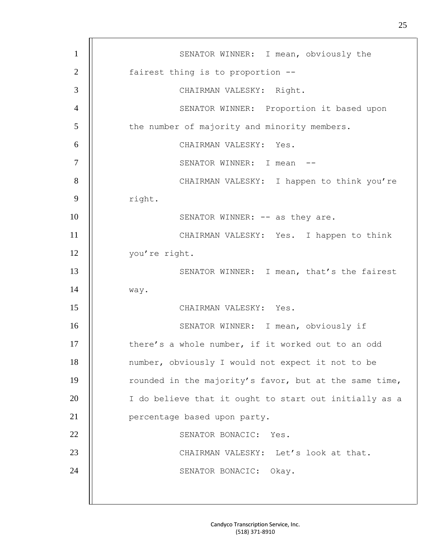| $\mathbf{1}$   | SENATOR WINNER: I mean, obviously the                  |
|----------------|--------------------------------------------------------|
| $\overline{2}$ | fairest thing is to proportion --                      |
| 3              | CHAIRMAN VALESKY: Right.                               |
| $\overline{4}$ | SENATOR WINNER: Proportion it based upon               |
| 5              | the number of majority and minority members.           |
| 6              | CHAIRMAN VALESKY: Yes.                                 |
| $\tau$         | SENATOR WINNER: I mean                                 |
| 8              | CHAIRMAN VALESKY: I happen to think you're             |
| 9              | right.                                                 |
| 10             | SENATOR WINNER: -- as they are.                        |
| 11             | CHAIRMAN VALESKY: Yes. I happen to think               |
| 12             | you're right.                                          |
| 13             | SENATOR WINNER: I mean, that's the fairest             |
| 14             | way.                                                   |
| 15             | CHAIRMAN VALESKY: Yes.                                 |
| 16             | SENATOR WINNER: I mean, obviously if                   |
| 17             | there's a whole number, if it worked out to an odd     |
| 18             | number, obviously I would not expect it not to be      |
| 19             | rounded in the majority's favor, but at the same time, |
| 20             | I do believe that it ought to start out initially as a |
| 21             | percentage based upon party.                           |
| 22             | SENATOR BONACIC: Yes.                                  |
| 23             | CHAIRMAN VALESKY: Let's look at that.                  |
| 24             | SENATOR BONACIC:<br>Okay.                              |
|                |                                                        |
|                |                                                        |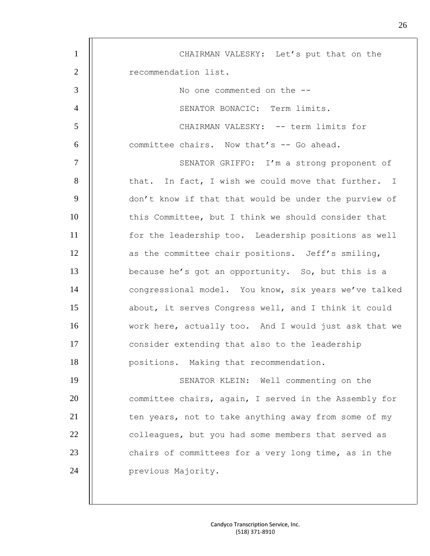| $\mathbf{1}$   | CHAIRMAN VALESKY: Let's put that on the               |
|----------------|-------------------------------------------------------|
| $\mathbf{2}$   | recommendation list.                                  |
| 3              | No one commented on the --                            |
| $\overline{4}$ | SENATOR BONACIC: Term limits.                         |
| 5              | CHAIRMAN VALESKY: -- term limits for                  |
| 6              | committee chairs. Now that's -- Go ahead.             |
| $\tau$         | SENATOR GRIFFO: I'm a strong proponent of             |
| 8              | that. In fact, I wish we could move that further. I   |
| 9              | don't know if that that would be under the purview of |
| 10             | this Committee, but I think we should consider that   |
| 11             | for the leadership too. Leadership positions as well  |
| 12             | as the committee chair positions. Jeff's smiling,     |
| 13             | because he's got an opportunity. So, but this is a    |
| 14             | congressional model. You know, six years we've talked |
| 15             | about, it serves Congress well, and I think it could  |
| 16             | work here, actually too. And I would just ask that we |
| 17             | consider extending that also to the leadership        |
| 18             | positions. Making that recommendation.                |
| 19             | SENATOR KLEIN: Well commenting on the                 |
| 20             | committee chairs, again, I served in the Assembly for |
| 21             | ten years, not to take anything away from some of my  |
| 22             | colleagues, but you had some members that served as   |
| 23             | chairs of committees for a very long time, as in the  |
| 24             | previous Majority.                                    |
|                |                                                       |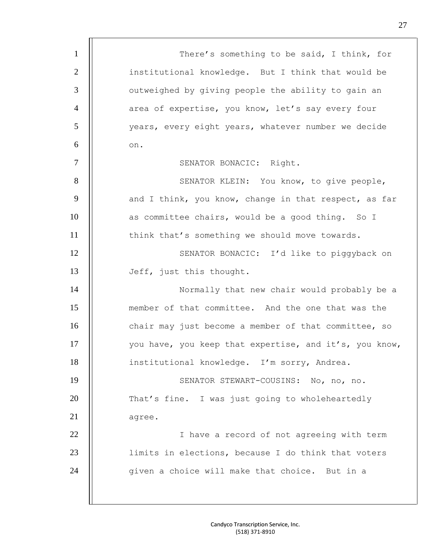| $\mathbf{1}$   | There's something to be said, I think, for             |
|----------------|--------------------------------------------------------|
| $\overline{2}$ | institutional knowledge. But I think that would be     |
| 3              | outweighed by giving people the ability to gain an     |
| $\overline{4}$ | area of expertise, you know, let's say every four      |
| 5              | years, every eight years, whatever number we decide    |
| 6              | on.                                                    |
| 7              | SENATOR BONACIC: Right.                                |
| 8              | SENATOR KLEIN: You know, to give people,               |
| 9              | and I think, you know, change in that respect, as far  |
| 10             | as committee chairs, would be a good thing. So I       |
| 11             | think that's something we should move towards.         |
| 12             | SENATOR BONACIC: I'd like to piggyback on              |
| 13             | Jeff, just this thought.                               |
| 14             | Normally that new chair would probably be a            |
| 15             | member of that committee. And the one that was the     |
| 16             | chair may just become a member of that committee, so   |
| 17             | you have, you keep that expertise, and it's, you know, |
| 18             | institutional knowledge. I'm sorry, Andrea.            |
| 19             | SENATOR STEWART-COUSINS: No, no, no.                   |
| 20             | That's fine. I was just going to wholeheartedly        |
| 21             | agree.                                                 |
| 22             | I have a record of not agreeing with term              |
| 23             | limits in elections, because I do think that voters    |
| 24             | given a choice will make that choice. But in a         |
|                |                                                        |
|                |                                                        |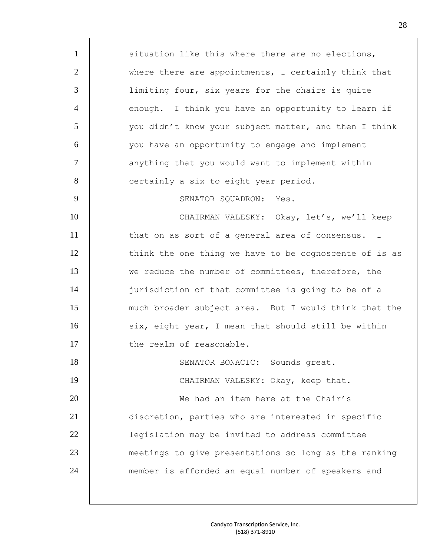1 | situation like this where there are no elections, 2 | where there are appointments, I certainly think that 3 | Iimiting four, six years for the chairs is quite 4 | enough. I think you have an opportunity to learn if 5 | vou didn't know your subject matter, and then I think 6 | vou have an opportunity to engage and implement 7 | anything that you would want to implement within 8 | certainly a six to eight year period. 9 | SENATOR SQUADRON: Yes. 10 || CHAIRMAN VALESKY: Okay, let's, we'll keep 11 | that on as sort of a general area of consensus. I 12 | think the one thing we have to be cognoscente of is as 13 we reduce the number of committees, therefore, the 14 | iurisdiction of that committee is going to be of a 15 much broader subject area. But I would think that the 16 | six, eight year, I mean that should still be within 17 | the realm of reasonable. 18 | SENATOR BONACIC: Sounds great. 19 | CHAIRMAN VALESKY: Okay, keep that. 20 || We had an item here at the Chair's 21 discretion, parties who are interested in specific 22 | legislation may be invited to address committee 23 meetings to give presentations so long as the ranking 24 | member is afforded an equal number of speakers and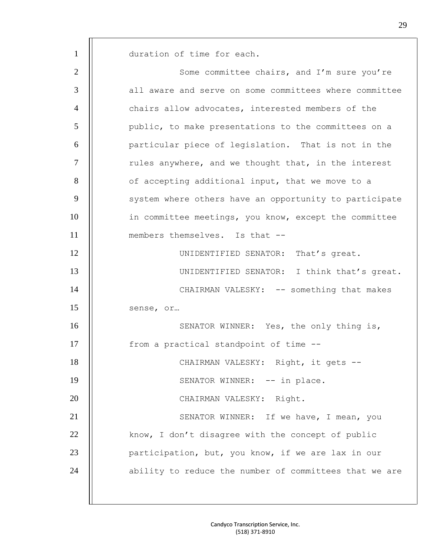1 | duration of time for each. 2 Some committee chairs, and I'm sure you're 3  $\parallel$  all aware and serve on some committees where committee 4 | | chairs allow advocates, interested members of the 5 public, to make presentations to the committees on a 6 | particular piece of legislation. That is not in the  $7$   $\parallel$  rules anywhere, and we thought that, in the interest 8 | of accepting additional input, that we move to a 9 | system where others have an opportunity to participate 10 | in committee meetings, you know, except the committee 11 || members themselves. Is that --12 | UNIDENTIFIED SENATOR: That's great. 13 | UNIDENTIFIED SENATOR: I think that's great. 14 | CHAIRMAN VALESKY: -- something that makes 15 || sense, or... 16 | SENATOR WINNER: Yes, the only thing is, 17 | from a practical standpoint of time --18 || CHAIRMAN VALESKY: Right, it gets --19 | SENATOR WINNER: -- in place. 20 || CHAIRMAN VALESKY: Right. 21 | SENATOR WINNER: If we have, I mean, you 22 | know, I don't disagree with the concept of public 23 | participation, but, you know, if we are lax in our 24 || ability to reduce the number of committees that we are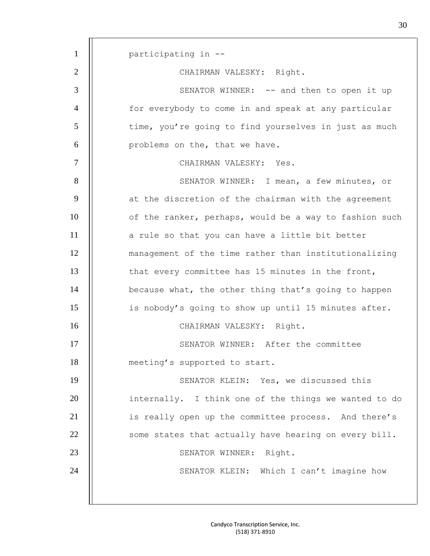1 | participating in --2 | CHAIRMAN VALESKY: Right. 3 | SENATOR WINNER: -- and then to open it up 4 | for everybody to come in and speak at any particular 5 | time, you're going to find yourselves in just as much 6 || problems on the, that we have. 7 || CHAIRMAN VALESKY: Yes. 8 | SENATOR WINNER: I mean, a few minutes, or 9 | at the discretion of the chairman with the agreement 10 | of the ranker, perhaps, would be a way to fashion such 11 a rule so that you can have a little bit better 12 management of the time rather than institutionalizing 13 | that every committee has 15 minutes in the front, 14 | because what, the other thing that's going to happen 15 is nobody's going to show up until 15 minutes after. 16 | CHAIRMAN VALESKY: Right. 17 | SENATOR WINNER: After the committee 18 | meeting's supported to start. 19 | SENATOR KLEIN: Yes, we discussed this 20 | internally. I think one of the things we wanted to do 21 | is really open up the committee process. And there's 22 | some states that actually have hearing on every bill. 23 | SENATOR WINNER: Right. 24 | | SENATOR KLEIN: Which I can't imagine how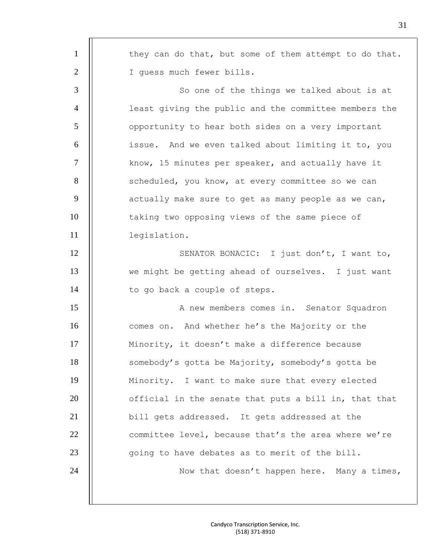| $\mathbf{1}$   | they can do that, but some of them attempt to do that. |
|----------------|--------------------------------------------------------|
| $\overline{2}$ | I quess much fewer bills.                              |
| 3              | So one of the things we talked about is at             |
| $\overline{4}$ | least giving the public and the committee members the  |
| 5              | opportunity to hear both sides on a very important     |
| 6              | issue. And we even talked about limiting it to, you    |
| $\tau$         | know, 15 minutes per speaker, and actually have it     |
| 8              | scheduled, you know, at every committee so we can      |
| 9              | actually make sure to get as many people as we can,    |
| 10             | taking two opposing views of the same piece of         |
| 11             | legislation.                                           |
| 12             | SENATOR BONACIC: I just don't, I want to,              |
| 13             | we might be getting ahead of ourselves. I just want    |
| 14             | to go back a couple of steps.                          |
| 15             | A new members comes in. Senator Squadron               |
| 16             | comes on. And whether he's the Majority or the         |
| 17             | Minority, it doesn't make a difference because         |
| 18             | somebody's gotta be Majority, somebody's gotta be      |
| 19             | Minority. I want to make sure that every elected       |
| 20             | official in the senate that puts a bill in, that that  |
| 21             | bill gets addressed. It gets addressed at the          |
| 22             | committee level, because that's the area where we're   |
| 23             | going to have debates as to merit of the bill.         |
| 24             | Now that doesn't happen here. Many a times,            |
|                |                                                        |
|                |                                                        |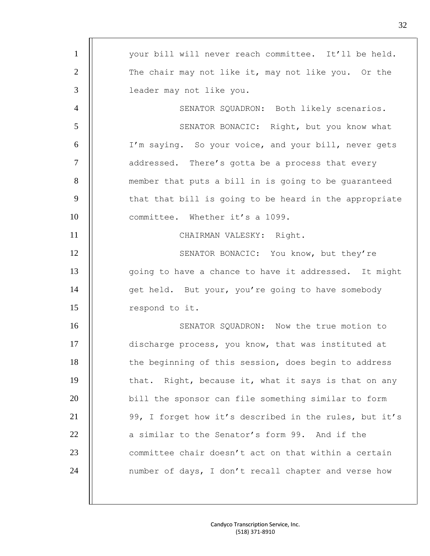| $\mathbf{1}$   | your bill will never reach committee. It'll be held.   |
|----------------|--------------------------------------------------------|
| $\overline{2}$ | The chair may not like it, may not like you. Or the    |
| 3              | leader may not like you.                               |
| $\overline{4}$ | SENATOR SQUADRON: Both likely scenarios.               |
| 5              | SENATOR BONACIC: Right, but you know what              |
| 6              | I'm saying. So your voice, and your bill, never gets   |
| $\tau$         | addressed. There's gotta be a process that every       |
| 8              | member that puts a bill in is going to be guaranteed   |
| 9              | that that bill is going to be heard in the appropriate |
| 10             | committee. Whether it's a 1099.                        |
| 11             | CHAIRMAN VALESKY: Right.                               |
| 12             | SENATOR BONACIC: You know, but they're                 |
| 13             | going to have a chance to have it addressed. It might  |
| 14             | get held. But your, you're going to have somebody      |
| 15             | respond to it.                                         |
| 16             | SENATOR SQUADRON: Now the true motion to               |
| 17             | discharge process, you know, that was instituted at    |
| 18             | the beginning of this session, does begin to address   |
| 19             | that. Right, because it, what it says is that on any   |
| 20             | bill the sponsor can file something similar to form    |
| 21             | 99, I forget how it's described in the rules, but it's |
| 22             | a similar to the Senator's form 99. And if the         |
| 23             | committee chair doesn't act on that within a certain   |
| 24             | number of days, I don't recall chapter and verse how   |
|                |                                                        |
|                |                                                        |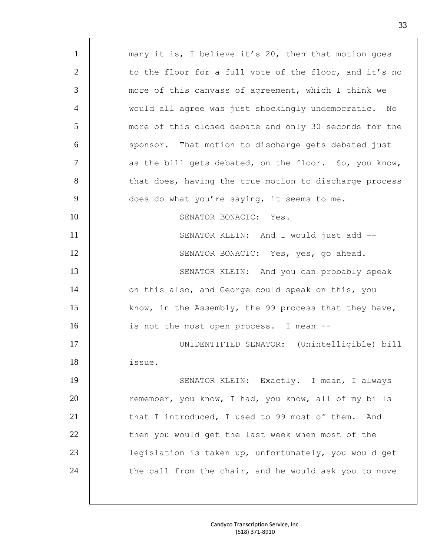| $\mathbf{1}$   | many it is, I believe it's 20, then that motion goes   |
|----------------|--------------------------------------------------------|
| $\overline{2}$ | to the floor for a full vote of the floor, and it's no |
| 3              | more of this canvass of agreement, which I think we    |
| $\overline{4}$ | would all agree was just shockingly undemocratic. No   |
| 5              | more of this closed debate and only 30 seconds for the |
| 6              | sponsor. That motion to discharge gets debated just    |
| $\tau$         | as the bill gets debated, on the floor. So, you know,  |
| 8              | that does, having the true motion to discharge process |
| 9              | does do what you're saying, it seems to me.            |
| 10             | SENATOR BONACIC: Yes.                                  |
| 11             | SENATOR KLEIN: And I would just add --                 |
| 12             | SENATOR BONACIC: Yes, yes, go ahead.                   |
| 13             | SENATOR KLEIN: And you can probably speak              |
| 14             | on this also, and George could speak on this, you      |
| 15             | know, in the Assembly, the 99 process that they have,  |
| 16             | is not the most open process. I mean --                |
| 17             | UNIDENTIFIED SENATOR: (Unintelligible) bill            |
| 18             | issue.                                                 |
| 19             | SENATOR KLEIN: Exactly. I mean, I always               |
| 20             | remember, you know, I had, you know, all of my bills   |
| 21             | that I introduced, I used to 99 most of them.<br>And   |
| 22             | then you would get the last week when most of the      |
| 23             | legislation is taken up, unfortunately, you would get  |
| 24             | the call from the chair, and he would ask you to move  |
|                |                                                        |
|                |                                                        |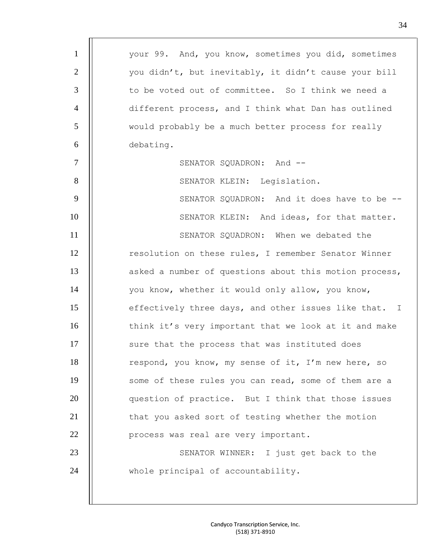| $\mathbf{1}$   | your 99. And, you know, sometimes you did, sometimes   |
|----------------|--------------------------------------------------------|
| $\overline{2}$ | you didn't, but inevitably, it didn't cause your bill  |
| 3              | to be voted out of committee. So I think we need a     |
| $\overline{4}$ | different process, and I think what Dan has outlined   |
| 5              | would probably be a much better process for really     |
| 6              | debating.                                              |
| $\overline{7}$ | SENATOR SQUADRON: And --                               |
| 8              | SENATOR KLEIN: Legislation.                            |
| 9              | SENATOR SQUADRON: And it does have to be --            |
| 10             | SENATOR KLEIN: And ideas, for that matter.             |
| 11             | SENATOR SQUADRON: When we debated the                  |
| 12             | resolution on these rules, I remember Senator Winner   |
| 13             | asked a number of questions about this motion process, |
| 14             | you know, whether it would only allow, you know,       |
| 15             | effectively three days, and other issues like that. I  |
| 16             | think it's very important that we look at it and make  |
| 17             | sure that the process that was instituted does         |
| 18             | respond, you know, my sense of it, I'm new here, so    |
| 19             | some of these rules you can read, some of them are a   |
| 20             | question of practice. But I think that those issues    |
| 21             | that you asked sort of testing whether the motion      |
| 22             | process was real are very important.                   |
| 23             | SENATOR WINNER: I just get back to the                 |
| 24             | whole principal of accountability.                     |
|                |                                                        |
|                |                                                        |

m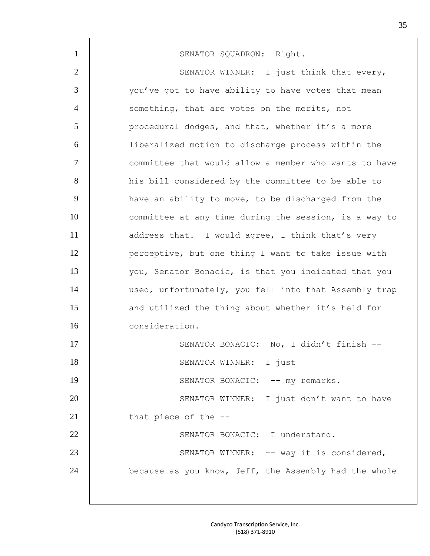| $\mathbf{1}$   | SENATOR SQUADRON: Right.                              |
|----------------|-------------------------------------------------------|
| $\overline{2}$ | SENATOR WINNER: I just think that every,              |
| 3              | you've got to have ability to have votes that mean    |
| $\overline{4}$ | something, that are votes on the merits, not          |
| 5              | procedural dodges, and that, whether it's a more      |
| 6              | liberalized motion to discharge process within the    |
| $\tau$         | committee that would allow a member who wants to have |
| 8              | his bill considered by the committee to be able to    |
| 9              | have an ability to move, to be discharged from the    |
| 10             | committee at any time during the session, is a way to |
| 11             | address that. I would agree, I think that's very      |
| 12             | perceptive, but one thing I want to take issue with   |
| 13             | you, Senator Bonacic, is that you indicated that you  |
| 14             | used, unfortunately, you fell into that Assembly trap |
| 15             | and utilized the thing about whether it's held for    |
| 16             | consideration.                                        |
| 17             | SENATOR BONACIC: No, I didn't finish --               |
| 18             | SENATOR WINNER: I just                                |
| 19             | SENATOR BONACIC: -- my remarks.                       |
| 20             | SENATOR WINNER: I just don't want to have             |
| 21             | that piece of the --                                  |
| 22             | SENATOR BONACIC: I understand.                        |
| 23             | SENATOR WINNER: -- way it is considered,              |
| 24             | because as you know, Jeff, the Assembly had the whole |
|                |                                                       |
|                |                                                       |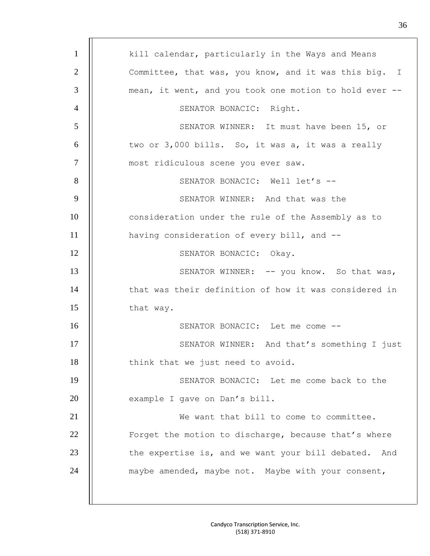| $\mathbf{1}$   | kill calendar, particularly in the Ways and Means      |
|----------------|--------------------------------------------------------|
| $\overline{2}$ | Committee, that was, you know, and it was this big. I  |
| 3              | mean, it went, and you took one motion to hold ever -- |
| $\overline{4}$ | SENATOR BONACIC: Right.                                |
| 5              | SENATOR WINNER: It must have been 15, or               |
| 6              | two or 3,000 bills. So, it was a, it was a really      |
| $\overline{7}$ | most ridiculous scene you ever saw.                    |
| 8              | SENATOR BONACIC: Well let's --                         |
| 9              | SENATOR WINNER: And that was the                       |
| 10             | consideration under the rule of the Assembly as to     |
| 11             | having consideration of every bill, and --             |
| 12             | SENATOR BONACIC: Okay.                                 |
| 13             | SENATOR WINNER: -- you know. So that was,              |
| 14             | that was their definition of how it was considered in  |
| 15             | that way.                                              |
| 16             | SENATOR BONACIC: Let me come --                        |
| 17             | SENATOR WINNER: And that's something I just            |
| 18             | think that we just need to avoid.                      |
| 19             | SENATOR BONACIC: Let me come back to the               |
| 20             | example I gave on Dan's bill.                          |
| 21             | We want that bill to come to committee.                |
| 22             | Forget the motion to discharge, because that's where   |
| 23             | the expertise is, and we want your bill debated. And   |
| 24             | maybe amended, maybe not. Maybe with your consent,     |
|                |                                                        |
|                |                                                        |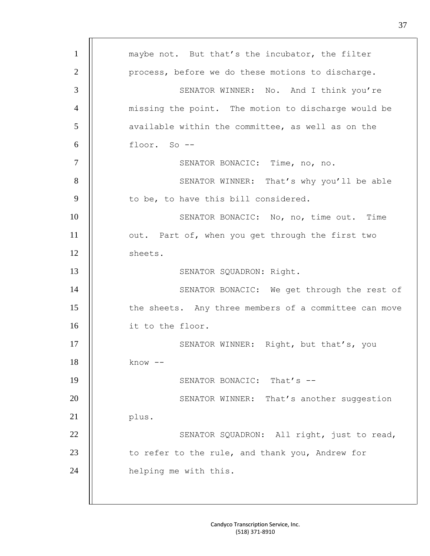1 | maybe not. But that's the incubator, the filter 2 | process, before we do these motions to discharge. 3 | SENATOR WINNER: No. And I think you're 4 missing the point. The motion to discharge would be 5 | available within the committee, as well as on the 6 floor. So -- 7 | SENATOR BONACIC: Time, no, no. 8 | SENATOR WINNER: That's why you'll be able  $9$  | to be, to have this bill considered. 10 | SENATOR BONACIC: No, no, time out. Time 11 | out. Part of, when you get through the first two 12 | sheets. 13 || SENATOR SQUADRON: Right. 14 | SENATOR BONACIC: We get through the rest of 15 | the sheets. Any three members of a committee can move 16 it to the floor. 17 | SENATOR WINNER: Right, but that's, you  $18$   $\parallel$  know  $-$ 19 **II** SENATOR BONACIC: That's --20 | SENATOR WINNER: That's another suggestion  $21$  | plus. 22 | | SENATOR SQUADRON: All right, just to read, 23 | to refer to the rule, and thank you, Andrew for 24 | helping me with this.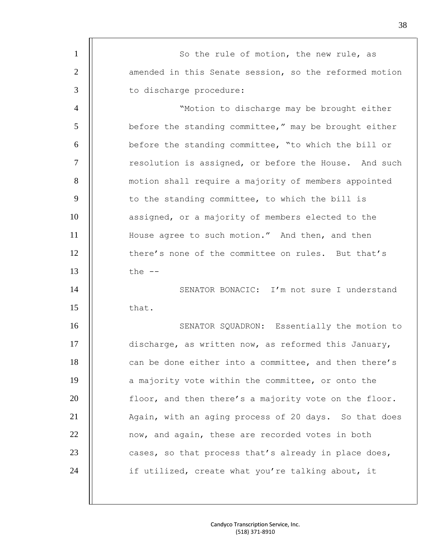| $\mathbf{1}$   | So the rule of motion, the new rule, as                |
|----------------|--------------------------------------------------------|
| $\overline{2}$ | amended in this Senate session, so the reformed motion |
| $\mathfrak{Z}$ | to discharge procedure:                                |
| $\overline{4}$ | "Motion to discharge may be brought either             |
| 5              | before the standing committee," may be brought either  |
| 6              | before the standing committee, "to which the bill or   |
| $\tau$         | resolution is assigned, or before the House. And such  |
| 8              | motion shall require a majority of members appointed   |
| 9              | to the standing committee, to which the bill is        |
| 10             | assigned, or a majority of members elected to the      |
| 11             | House agree to such motion." And then, and then        |
| 12             | there's none of the committee on rules. But that's     |
| 13             | the $--$                                               |
| 14             | SENATOR BONACIC: I'm not sure I understand             |
| 15             | that.                                                  |
| 16             | SENATOR SQUADRON: Essentially the motion to            |
| 17             | discharge, as written now, as reformed this January,   |
| 18             | can be done either into a committee, and then there's  |
| 19             | a majority vote within the committee, or onto the      |
| 20             | floor, and then there's a majority vote on the floor.  |
| 21             | Again, with an aging process of 20 days. So that does  |
| 22             | now, and again, these are recorded votes in both       |
| 23             | cases, so that process that's already in place does,   |
| 24             | if utilized, create what you're talking about, it      |
|                |                                                        |
|                |                                                        |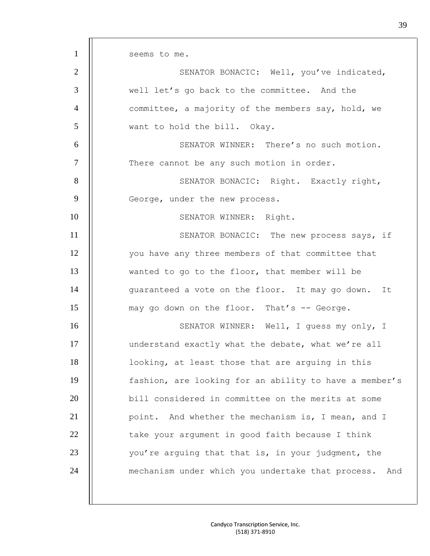1 | seems to me. 2 | | SENATOR BONACIC: Well, you've indicated, 3 | well let's go back to the committee. And the 4 | committee, a majority of the members say, hold, we 5 want to hold the bill. Okay. 6 SENATOR WINNER: There's no such motion. 7 | There cannot be any such motion in order. 8 | SENATOR BONACIC: Right. Exactly right, 9 | George, under the new process. 10 | SENATOR WINNER: Right. 11 | SENATOR BONACIC: The new process says, if 12 | vou have any three members of that committee that 13 Wanted to go to the floor, that member will be 14 | quaranteed a vote on the floor. It may go down. It 15 may go down on the floor. That's -- George. 16 | SENATOR WINNER: Well, I guess my only, I 17 | understand exactly what the debate, what we're all 18 looking, at least those that are arguing in this 19 fashion, are looking for an ability to have a member's 20 bill considered in committee on the merits at some 21 | point. And whether the mechanism is, I mean, and I  $22$   $||$  take your argument in good faith because I think 23 | vou're arguing that that is, in your judgment, the 24 | mechanism under which you undertake that process. And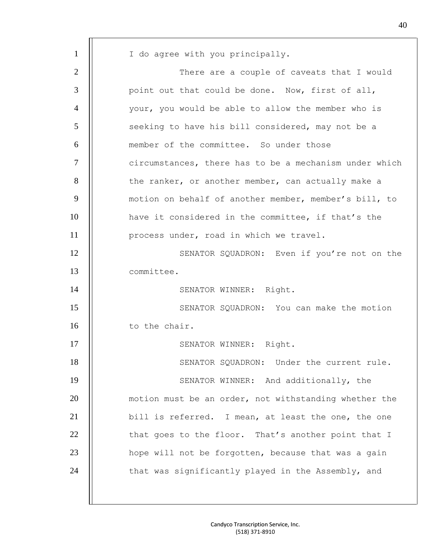| $\mathbf{1}$   | I do agree with you principally.                       |
|----------------|--------------------------------------------------------|
| $\overline{2}$ | There are a couple of caveats that I would             |
| 3              | point out that could be done. Now, first of all,       |
| $\overline{4}$ | your, you would be able to allow the member who is     |
| 5              | seeking to have his bill considered, may not be a      |
| 6              | member of the committee. So under those                |
| $\overline{7}$ | circumstances, there has to be a mechanism under which |
| 8              | the ranker, or another member, can actually make a     |
| 9              | motion on behalf of another member, member's bill, to  |
| 10             | have it considered in the committee, if that's the     |
| 11             | process under, road in which we travel.                |
| 12             | SENATOR SQUADRON: Even if you're not on the            |
| 13             | committee.                                             |
| 14             | SENATOR WINNER: Right.                                 |
| 15             | SENATOR SQUADRON: You can make the motion              |
| 16             | to the chair.                                          |
| 17             | SENATOR WINNER: Right.                                 |
| 18             | SENATOR SQUADRON: Under the current rule.              |
| 19             | SENATOR WINNER: And additionally, the                  |
| 20             | motion must be an order, not withstanding whether the  |
| 21             | bill is referred. I mean, at least the one, the one    |
| 22             | that goes to the floor. That's another point that I    |
| 23             | hope will not be forgotten, because that was a gain    |
| 24             | that was significantly played in the Assembly, and     |
|                |                                                        |
|                |                                                        |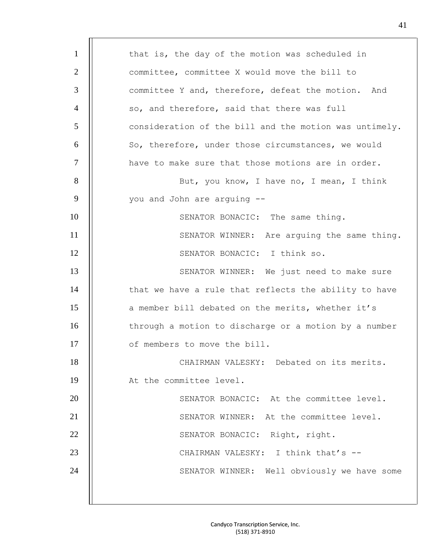| $\mathbf{1}$   | that is, the day of the motion was scheduled in        |
|----------------|--------------------------------------------------------|
| 2              | committee, committee X would move the bill to          |
| 3              | committee Y and, therefore, defeat the motion. And     |
| 4              | so, and therefore, said that there was full            |
| 5              | consideration of the bill and the motion was untimely. |
| 6              | So, therefore, under those circumstances, we would     |
| $\overline{7}$ | have to make sure that those motions are in order.     |
| 8              | But, you know, I have no, I mean, I think              |
| 9              | you and John are arguing --                            |
| 10             | SENATOR BONACIC: The same thing.                       |
| 11             | SENATOR WINNER: Are arguing the same thing.            |
| 12             | SENATOR BONACIC: I think so.                           |
| 13             | SENATOR WINNER: We just need to make sure              |
| 14             | that we have a rule that reflects the ability to have  |
| 15             | a member bill debated on the merits, whether it's      |
| 16             | through a motion to discharge or a motion by a number  |
| 17             | of members to move the bill.                           |
| 18             | CHAIRMAN VALESKY: Debated on its merits.               |
| 19             | At the committee level.                                |
| 20             | SENATOR BONACIC: At the committee level.               |
| 21             | SENATOR WINNER: At the committee level.                |
| 22             | SENATOR BONACIC: Right, right.                         |
| 23             | CHAIRMAN VALESKY: I think that's --                    |
| 24             | SENATOR WINNER: Well obviously we have some            |
|                |                                                        |
|                |                                                        |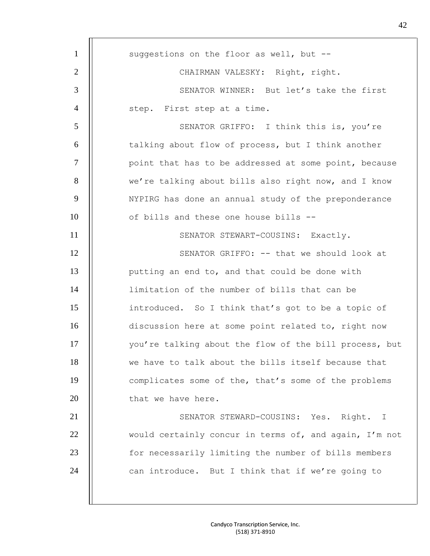| $\mathbf{1}$   | suggestions on the floor as well, but --               |
|----------------|--------------------------------------------------------|
| $\overline{2}$ | CHAIRMAN VALESKY: Right, right.                        |
| 3              | SENATOR WINNER: But let's take the first               |
| $\overline{4}$ | step. First step at a time.                            |
| 5              | SENATOR GRIFFO: I think this is, you're                |
| 6              | talking about flow of process, but I think another     |
| $\overline{7}$ | point that has to be addressed at some point, because  |
| 8              | we're talking about bills also right now, and I know   |
| 9              | NYPIRG has done an annual study of the preponderance   |
| 10             | of bills and these one house bills --                  |
| 11             | SENATOR STEWART-COUSINS: Exactly.                      |
| 12             | SENATOR GRIFFO: -- that we should look at              |
| 13             | putting an end to, and that could be done with         |
| 14             | limitation of the number of bills that can be          |
| 15             | introduced. So I think that's got to be a topic of     |
| 16             | discussion here at some point related to, right now    |
| 17             | you're talking about the flow of the bill process, but |
| 18             | we have to talk about the bills itself because that    |
| 19             | complicates some of the, that's some of the problems   |
| 20             | that we have here.                                     |
| 21             | SENATOR STEWARD-COUSINS: Yes. Right. I                 |
| 22             | would certainly concur in terms of, and again, I'm not |
| 23             | for necessarily limiting the number of bills members   |
| 24             | can introduce. But I think that if we're going to      |
|                |                                                        |
|                |                                                        |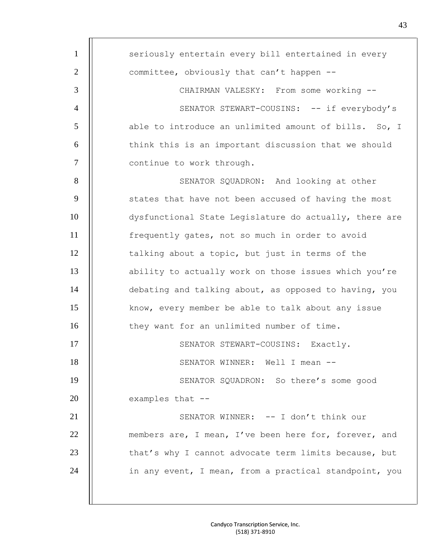| $\mathbf{1}$   | seriously entertain every bill entertained in every    |
|----------------|--------------------------------------------------------|
| $\overline{2}$ | committee, obviously that can't happen --              |
| 3              | CHAIRMAN VALESKY: From some working --                 |
| $\overline{4}$ | SENATOR STEWART-COUSINS: -- if everybody's             |
| 5              | able to introduce an unlimited amount of bills. So, I  |
| 6              | think this is an important discussion that we should   |
| $\overline{7}$ | continue to work through.                              |
| 8              | SENATOR SQUADRON: And looking at other                 |
| 9              | states that have not been accused of having the most   |
| 10             | dysfunctional State Legislature do actually, there are |
| 11             | frequently gates, not so much in order to avoid        |
| 12             | talking about a topic, but just in terms of the        |
| 13             | ability to actually work on those issues which you're  |
| 14             | debating and talking about, as opposed to having, you  |
| 15             | know, every member be able to talk about any issue     |
| 16             | they want for an unlimited number of time.             |
| 17             | SENATOR STEWART-COUSINS: Exactly.                      |
| 18             | SENATOR WINNER: Well I mean --                         |
| 19             | SENATOR SQUADRON: So there's some good                 |
| 20             | examples that --                                       |
| 21             | SENATOR WINNER: -- I don't think our                   |
| 22             | members are, I mean, I've been here for, forever, and  |
| 23             | that's why I cannot advocate term limits because, but  |
| 24             | in any event, I mean, from a practical standpoint, you |
|                |                                                        |
|                |                                                        |

m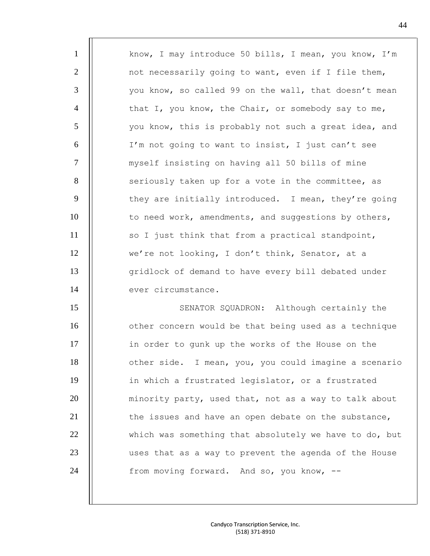| $\mathbf{1}$   | know, I may introduce 50 bills, I mean, you know, I'm  |
|----------------|--------------------------------------------------------|
| $\overline{2}$ | not necessarily going to want, even if I file them,    |
| 3              | you know, so called 99 on the wall, that doesn't mean  |
| $\overline{4}$ | that I, you know, the Chair, or somebody say to me,    |
| 5              | you know, this is probably not such a great idea, and  |
| 6              | I'm not going to want to insist, I just can't see      |
| $\overline{7}$ | myself insisting on having all 50 bills of mine        |
| 8              | seriously taken up for a vote in the committee, as     |
| 9              | they are initially introduced. I mean, they're going   |
| 10             | to need work, amendments, and suggestions by others,   |
| 11             | so I just think that from a practical standpoint,      |
| 12             | we're not looking, I don't think, Senator, at a        |
| 13             | gridlock of demand to have every bill debated under    |
| 14             | ever circumstance.                                     |
| 15             | SENATOR SQUADRON: Although certainly the               |
| 16             | other concern would be that being used as a technique  |
| 17             | in order to gunk up the works of the House on the      |
| 18             | other side. I mean, you, you could imagine a scenario  |
| 19             | in which a frustrated legislator, or a frustrated      |
| 20             | minority party, used that, not as a way to talk about  |
| 21             | the issues and have an open debate on the substance,   |
| 22             | which was something that absolutely we have to do, but |
| 23             | uses that as a way to prevent the agenda of the House  |
| 24             | from moving forward. And so, you know, --              |
|                |                                                        |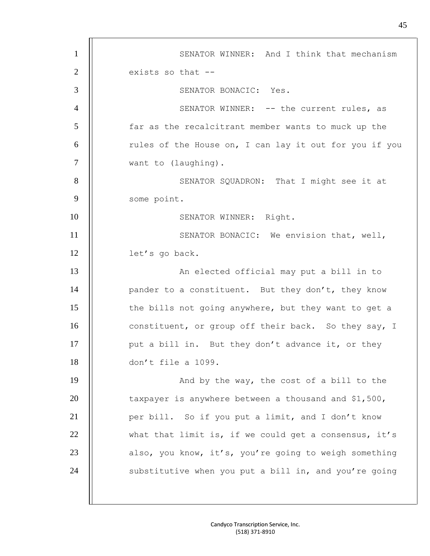| $\mathbf{1}$   | SENATOR WINNER: And I think that mechanism             |
|----------------|--------------------------------------------------------|
| $\overline{2}$ | exists so that --                                      |
| 3              | SENATOR BONACIC: Yes.                                  |
| $\overline{4}$ | SENATOR WINNER: -- the current rules, as               |
| 5              | far as the recalcitrant member wants to muck up the    |
| 6              | rules of the House on, I can lay it out for you if you |
| $\overline{7}$ | want to (laughing).                                    |
| 8              | SENATOR SQUADRON: That I might see it at               |
| 9              | some point.                                            |
| 10             | SENATOR WINNER: Right.                                 |
| 11             | SENATOR BONACIC: We envision that, well,               |
| 12             | let's go back.                                         |
| 13             | An elected official may put a bill in to               |
| 14             | pander to a constituent. But they don't, they know     |
| 15             | the bills not going anywhere, but they want to get a   |
| 16             | constituent, or group off their back. So they say, I   |
| 17             | put a bill in. But they don't advance it, or they      |
| 18             | don't file a 1099.                                     |
| 19             | And by the way, the cost of a bill to the              |
| 20             | taxpayer is anywhere between a thousand and \$1,500,   |
| 21             | per bill. So if you put a limit, and I don't know      |
| 22             | what that limit is, if we could get a consensus, it's  |
| 23             | also, you know, it's, you're going to weigh something  |
| 24             | substitutive when you put a bill in, and you're going  |
|                |                                                        |
|                |                                                        |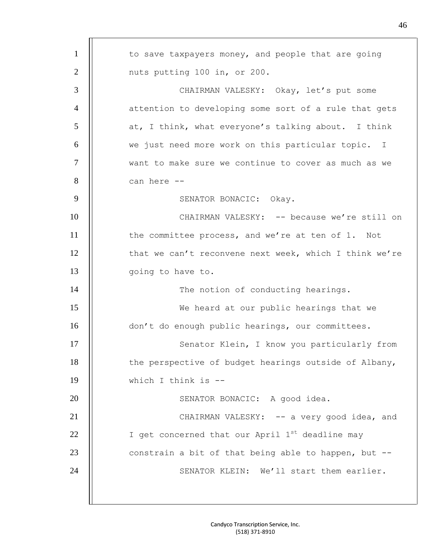1 | to save taxpayers money, and people that are going 2 || nuts putting 100 in, or 200. 3 CHAIRMAN VALESKY: Okay, let's put some 4 | attention to developing some sort of a rule that gets  $5$  || at, I think, what everyone's talking about. I think 6 | we just need more work on this particular topic. I 7 | want to make sure we continue to cover as much as we  $8$  | can here  $-$ 9 | SENATOR BONACIC: Okay. 10 CHAIRMAN VALESKY: -- because we're still on 11 | the committee process, and we're at ten of 1. Not 12 | that we can't reconvene next week, which I think we're 13 | going to have to. 14 | The notion of conducting hearings. 15 We heard at our public hearings that we 16 | don't do enough public hearings, our committees. 17 | Senator Klein, I know you particularly from 18 | the perspective of budget hearings outside of Albany, 19 which I think is -- 20 || SENATOR BONACIC: A good idea. 21 | CHAIRMAN VALESKY: -- a very good idea, and 22  $\parallel$  I get concerned that our April 1<sup>st</sup> deadline may 23  $\parallel$  constrain a bit of that being able to happen, but  $-$ 24 | | SENATOR KLEIN: We'll start them earlier.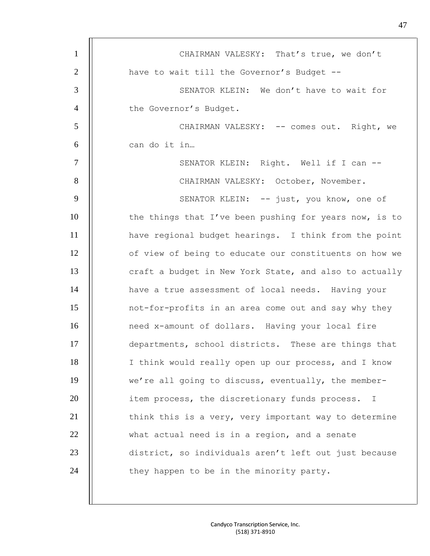| $\mathbf{1}$   | CHAIRMAN VALESKY: That's true, we don't                |
|----------------|--------------------------------------------------------|
| $\overline{2}$ | have to wait till the Governor's Budget --             |
| 3              | SENATOR KLEIN: We don't have to wait for               |
| $\overline{4}$ | the Governor's Budget.                                 |
| 5              | CHAIRMAN VALESKY: -- comes out. Right, we              |
| 6              | can do it in                                           |
| $\overline{7}$ | SENATOR KLEIN: Right. Well if I can --                 |
| 8              | CHAIRMAN VALESKY: October, November.                   |
| 9              | SENATOR KLEIN: -- just, you know, one of               |
| 10             | the things that I've been pushing for years now, is to |
| 11             | have regional budget hearings. I think from the point  |
| 12             | of view of being to educate our constituents on how we |
| 13             | craft a budget in New York State, and also to actually |
| 14             | have a true assessment of local needs. Having your     |
| 15             | not-for-profits in an area come out and say why they   |
| 16             | need x-amount of dollars. Having your local fire       |
| 17             | departments, school districts. These are things that   |
| 18             | I think would really open up our process, and I know   |
| 19             | we're all going to discuss, eventually, the member-    |
| 20             | item process, the discretionary funds process.<br>I    |
| 21             | think this is a very, very important way to determine  |
| 22             | what actual need is in a region, and a senate          |
| 23             | district, so individuals aren't left out just because  |
| 24             | they happen to be in the minority party.               |
|                |                                                        |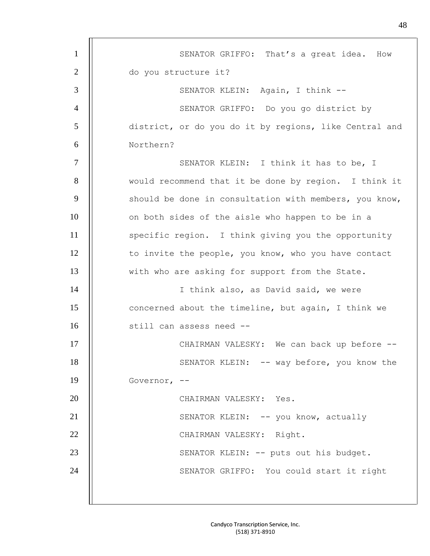| $\mathbf{1}$   | SENATOR GRIFFO: That's a great idea. How               |
|----------------|--------------------------------------------------------|
| $\overline{2}$ | do you structure it?                                   |
| 3              | SENATOR KLEIN: Again, I think --                       |
| $\overline{4}$ | SENATOR GRIFFO: Do you go district by                  |
| 5              | district, or do you do it by regions, like Central and |
| 6              | Northern?                                              |
| $\tau$         | SENATOR KLEIN: I think it has to be, I                 |
| 8              | would recommend that it be done by region. I think it  |
| 9              | should be done in consultation with members, you know, |
| 10             | on both sides of the aisle who happen to be in a       |
| 11             | specific region. I think giving you the opportunity    |
| 12             | to invite the people, you know, who you have contact   |
| 13             | with who are asking for support from the State.        |
| 14             | I think also, as David said, we were                   |
| 15             | concerned about the timeline, but again, I think we    |
| 16             | still can assess need --                               |
| 17             | CHAIRMAN VALESKY: We can back up before --             |
| 18             | SENATOR KLEIN: -- way before, you know the             |
| 19             | Governor, --                                           |
| 20             | CHAIRMAN VALESKY: Yes.                                 |
| 21             | SENATOR KLEIN: -- you know, actually                   |
| 22             | CHAIRMAN VALESKY: Right.                               |
| 23             | SENATOR KLEIN: -- puts out his budget.                 |
| 24             | SENATOR GRIFFO: You could start it right               |
|                |                                                        |
|                |                                                        |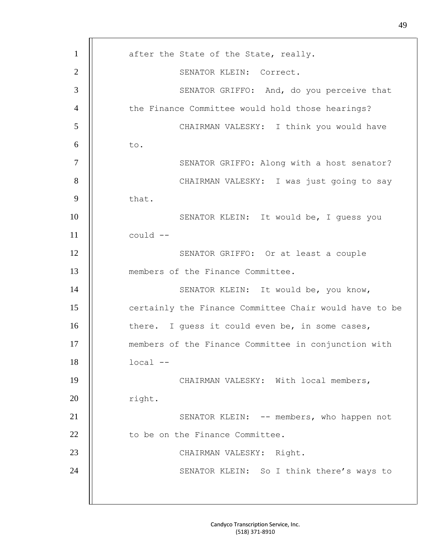| $\mathbf{1}$   | after the State of the State, really.                  |
|----------------|--------------------------------------------------------|
| $\overline{2}$ | SENATOR KLEIN: Correct.                                |
| 3              | SENATOR GRIFFO: And, do you perceive that              |
| $\overline{4}$ | the Finance Committee would hold those hearings?       |
| 5              | CHAIRMAN VALESKY: I think you would have               |
| 6              | to.                                                    |
| $\tau$         | SENATOR GRIFFO: Along with a host senator?             |
| 8              | CHAIRMAN VALESKY: I was just going to say              |
| 9              | that.                                                  |
| 10             | SENATOR KLEIN: It would be, I quess you                |
| 11             | could --                                               |
| 12             | SENATOR GRIFFO: Or at least a couple                   |
| 13             | members of the Finance Committee.                      |
| 14             | SENATOR KLEIN: It would be, you know,                  |
| 15             | certainly the Finance Committee Chair would have to be |
| 16             | there. I guess it could even be, in some cases,        |
| 17             | members of the Finance Committee in conjunction with   |
| 18             | $local --$                                             |
| 19             | CHAIRMAN VALESKY: With local members,                  |
| 20             | right.                                                 |
| 21             | SENATOR KLEIN: -- members, who happen not              |
| 22             | to be on the Finance Committee.                        |
| 23             | CHAIRMAN VALESKY: Right.                               |
| 24             | SENATOR KLEIN: So I think there's ways to              |
|                |                                                        |
|                |                                                        |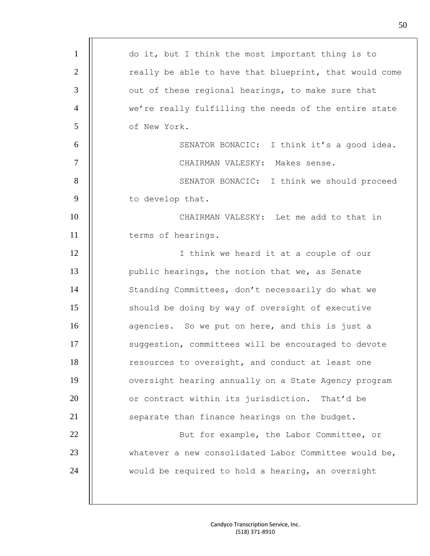| $\mathbf{1}$   | do it, but I think the most important thing is to      |
|----------------|--------------------------------------------------------|
| $\overline{2}$ | really be able to have that blueprint, that would come |
| 3              | out of these regional hearings, to make sure that      |
| $\overline{4}$ | we're really fulfilling the needs of the entire state  |
| 5              | of New York.                                           |
| 6              | SENATOR BONACIC: I think it's a good idea.             |
| $\overline{7}$ | CHAIRMAN VALESKY: Makes sense.                         |
| 8              | SENATOR BONACIC: I think we should proceed             |
| 9              | to develop that.                                       |
| 10             | CHAIRMAN VALESKY: Let me add to that in                |
| 11             | terms of hearings.                                     |
| 12             | I think we heard it at a couple of our                 |
| 13             | public hearings, the notion that we, as Senate         |
| 14             | Standing Committees, don't necessarily do what we      |
| 15             | should be doing by way of oversight of executive       |
| 16             | agencies. So we put on here, and this is just a        |
| 17             | suggestion, committees will be encouraged to devote    |
| 18             | resources to oversight, and conduct at least one       |
| 19             | oversight hearing annually on a State Agency program   |
| 20             | or contract within its jurisdiction. That'd be         |
| 21             | separate than finance hearings on the budget.          |
| 22             | But for example, the Labor Committee, or               |
| 23             | whatever a new consolidated Labor Committee would be,  |
| 24             | would be required to hold a hearing, an oversight      |
|                |                                                        |
|                |                                                        |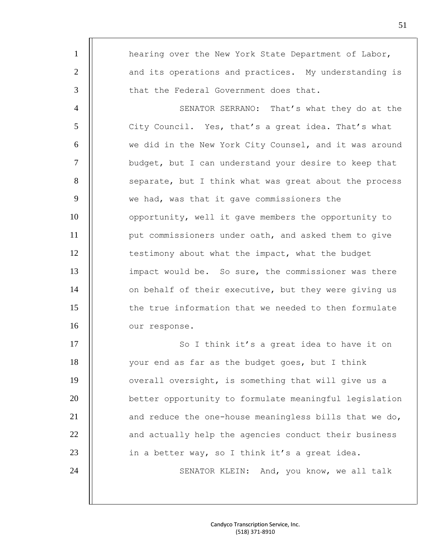| $\mathbf{1}$   | hearing over the New York State Department of Labor,   |
|----------------|--------------------------------------------------------|
| $\overline{2}$ | and its operations and practices. My understanding is  |
| 3              | that the Federal Government does that.                 |
| $\overline{4}$ | SENATOR SERRANO: That's what they do at the            |
| 5              | City Council. Yes, that's a great idea. That's what    |
| 6              | we did in the New York City Counsel, and it was around |
| $\overline{7}$ | budget, but I can understand your desire to keep that  |
| 8              | separate, but I think what was great about the process |
| 9              | we had, was that it gave commissioners the             |
| 10             | opportunity, well it gave members the opportunity to   |
| 11             | put commissioners under oath, and asked them to give   |
| 12             | testimony about what the impact, what the budget       |
| 13             | impact would be. So sure, the commissioner was there   |
| 14             | on behalf of their executive, but they were giving us  |
| 15             | the true information that we needed to then formulate  |
| 16             | our response.                                          |
| 17             | So I think it's a great idea to have it on             |
| 18             | your end as far as the budget goes, but I think        |
| 19             | overall oversight, is something that will give us a    |
| 20             | better opportunity to formulate meaningful legislation |
| 21             | and reduce the one-house meaningless bills that we do, |
| 22             | and actually help the agencies conduct their business  |
| 23             | in a better way, so I think it's a great idea.         |
| 24             | SENATOR KLEIN: And, you know, we all talk              |
|                |                                                        |
|                |                                                        |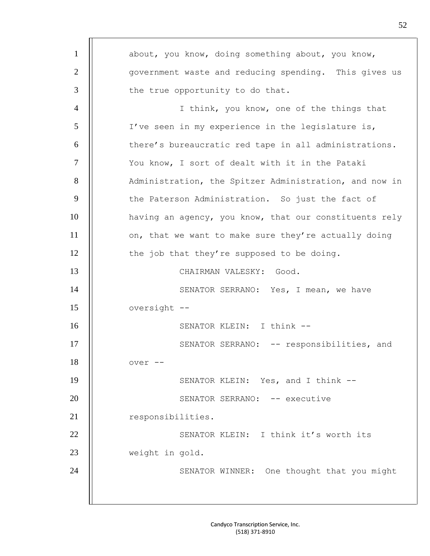1 | about, you know, doing something about, you know, 2 | | Government waste and reducing spending. This gives us  $3$  | the true opportunity to do that. 4 | I think, you know, one of the things that 5 | I've seen in my experience in the legislature is, 6 | there's bureaucratic red tape in all administrations. 7 | You know, I sort of dealt with it in the Pataki 8 | Administration, the Spitzer Administration, and now in 9 | the Paterson Administration. So just the fact of 10 | having an agency, you know, that our constituents rely 11 | on, that we want to make sure they're actually doing  $12$  | the job that they're supposed to be doing. 13 || CHAIRMAN VALESKY: Good. 14 | | SENATOR SERRANO: Yes, I mean, we have 15 || oversight --16 || SENATOR KLEIN: I think --17 | | SENATOR SERRANO: -- responsibilities, and 18 || over --19 | SENATOR KLEIN: Yes, and I think --20 | SENATOR SERRANO: -- executive 21 | responsibilities. 22 | SENATOR KLEIN: I think it's worth its 23 Weight in gold. 24 | | SENATOR WINNER: One thought that you might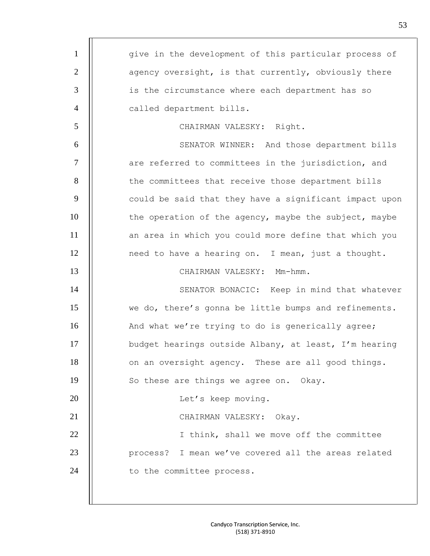| $\mathbf{1}$   | give in the development of this particular process of  |
|----------------|--------------------------------------------------------|
| $\overline{2}$ | agency oversight, is that currently, obviously there   |
| 3              | is the circumstance where each department has so       |
| $\overline{4}$ | called department bills.                               |
| 5              | CHAIRMAN VALESKY: Right.                               |
| 6              | SENATOR WINNER: And those department bills             |
| $\tau$         | are referred to committees in the jurisdiction, and    |
| 8              | the committees that receive those department bills     |
| 9              | could be said that they have a significant impact upon |
| 10             | the operation of the agency, maybe the subject, maybe  |
| 11             | an area in which you could more define that which you  |
| 12             | need to have a hearing on. I mean, just a thought.     |
| 13             | CHAIRMAN VALESKY: Mm-hmm.                              |
| 14             | SENATOR BONACIC: Keep in mind that whatever            |
| 15             | we do, there's gonna be little bumps and refinements.  |
| 16             | And what we're trying to do is generically agree;      |
| 17             | budget hearings outside Albany, at least, I'm hearing  |
| 18             | on an oversight agency. These are all good things.     |
| 19             | So these are things we agree on. Okay.                 |
| 20             | Let's keep moving.                                     |
| 21             | CHAIRMAN VALESKY: Okay.                                |
| 22             | I think, shall we move off the committee               |
| 23             | process? I mean we've covered all the areas related    |
| 24             | to the committee process.                              |
|                |                                                        |
|                |                                                        |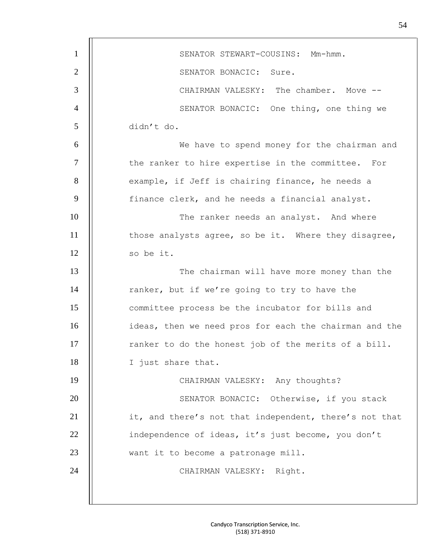| $\mathbf{1}$     | SENATOR STEWART-COUSINS: Mm-hmm.                       |
|------------------|--------------------------------------------------------|
| $\overline{2}$   | SENATOR BONACIC: Sure.                                 |
| 3                | CHAIRMAN VALESKY: The chamber. Move --                 |
| 4                | SENATOR BONACIC: One thing, one thing we               |
| 5                | didn't do.                                             |
| 6                | We have to spend money for the chairman and            |
| $\overline{7}$   | the ranker to hire expertise in the committee. For     |
| 8                | example, if Jeff is chairing finance, he needs a       |
| $\boldsymbol{9}$ | finance clerk, and he needs a financial analyst.       |
| 10               | The ranker needs an analyst. And where                 |
| 11               | those analysts agree, so be it. Where they disagree,   |
| 12               | so be it.                                              |
| 13               | The chairman will have more money than the             |
| 14               | ranker, but if we're going to try to have the          |
| 15               | committee process be the incubator for bills and       |
| 16               | ideas, then we need pros for each the chairman and the |
| 17               | ranker to do the honest job of the merits of a bill.   |
| 18               | I just share that.                                     |
| 19               | CHAIRMAN VALESKY: Any thoughts?                        |
| 20               | SENATOR BONACIC: Otherwise, if you stack               |
| 21               | it, and there's not that independent, there's not that |
| 22               | independence of ideas, it's just become, you don't     |
| 23               | want it to become a patronage mill.                    |
| 24               | CHAIRMAN VALESKY: Right.                               |
|                  |                                                        |
|                  |                                                        |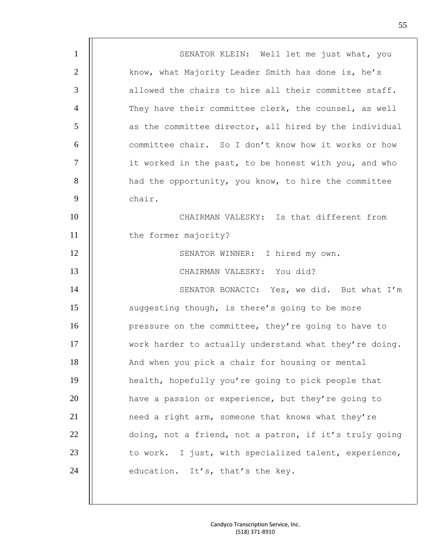| $\mathbf{1}$   | SENATOR KLEIN: Well let me just what, you              |
|----------------|--------------------------------------------------------|
| $\overline{2}$ | know, what Majority Leader Smith has done is, he's     |
| 3              | allowed the chairs to hire all their committee staff.  |
| $\overline{4}$ | They have their committee clerk, the counsel, as well  |
| 5              | as the committee director, all hired by the individual |
| 6              | committee chair. So I don't know how it works or how   |
| $\overline{7}$ | it worked in the past, to be honest with you, and who  |
| 8              | had the opportunity, you know, to hire the committee   |
| 9              | chair.                                                 |
| 10             | CHAIRMAN VALESKY: Is that different from               |
| 11             | the former majority?                                   |
| 12             | SENATOR WINNER: I hired my own.                        |
| 13             | CHAIRMAN VALESKY: You did?                             |
| 14             | SENATOR BONACIC: Yes, we did. But what I'm             |
| 15             | suggesting though, is there's going to be more         |
| 16             | pressure on the committee, they're going to have to    |
| 17             | work harder to actually understand what they're doing. |
| 18             | And when you pick a chair for housing or mental        |
| 19             | health, hopefully you're going to pick people that     |
| 20             | have a passion or experience, but they're going to     |
| 21             | need a right arm, someone that knows what they're      |
| 22             | doing, not a friend, not a patron, if it's truly going |
| 23             | to work. I just, with specialized talent, experience,  |
| 24             | education. It's, that's the key.                       |
|                |                                                        |

I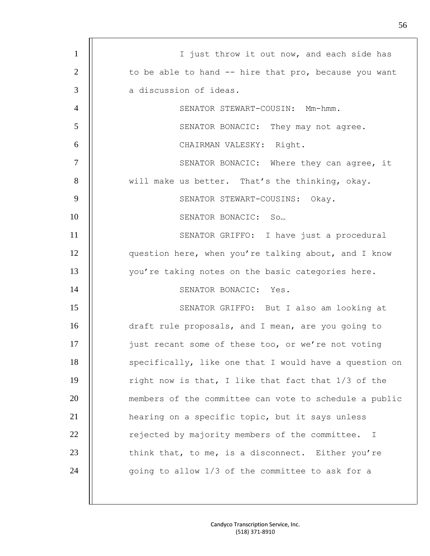| $\mathbf{1}$   | I just throw it out now, and each side has                     |
|----------------|----------------------------------------------------------------|
| $\overline{2}$ | to be able to hand -- hire that pro, because you want          |
| 3              | a discussion of ideas.                                         |
| $\overline{4}$ | SENATOR STEWART-COUSIN: Mm-hmm.                                |
| 5              | SENATOR BONACIC: They may not agree.                           |
| 6              | CHAIRMAN VALESKY: Right.                                       |
| $\overline{7}$ | SENATOR BONACIC: Where they can agree, it                      |
| 8              | will make us better. That's the thinking, okay.                |
| 9              | SENATOR STEWART-COUSINS: Okay.                                 |
| 10             | SENATOR BONACIC: So                                            |
| 11             | SENATOR GRIFFO: I have just a procedural                       |
| 12             | question here, when you're talking about, and I know           |
| 13             | you're taking notes on the basic categories here.              |
| 14             | SENATOR BONACIC: Yes.                                          |
| 15             | SENATOR GRIFFO: But I also am looking at                       |
| 16             | draft rule proposals, and I mean, are you going to             |
| 17             | just recant some of these too, or we're not voting             |
| 18             | specifically, like one that I would have a question on         |
| 19             | right now is that, I like that fact that 1/3 of the            |
| 20             | members of the committee can vote to schedule a public         |
| 21             | hearing on a specific topic, but it says unless                |
| 22             | rejected by majority members of the committee.<br>$\mathbb{I}$ |
| 23             | think that, to me, is a disconnect. Either you're              |
| 24             | going to allow 1/3 of the committee to ask for a               |
|                |                                                                |

 $\overline{\phantom{a}}$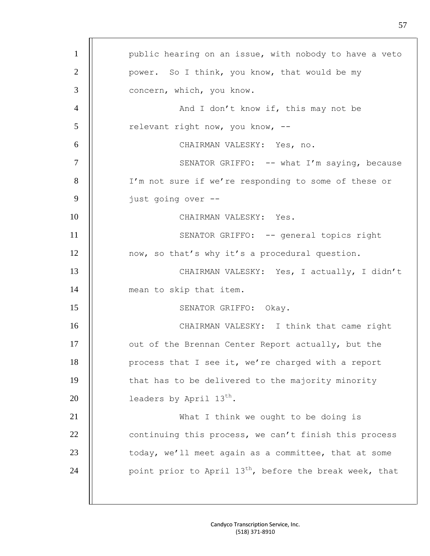| $\mathbf{1}$   | public hearing on an issue, with nobody to have a veto              |
|----------------|---------------------------------------------------------------------|
| $\overline{2}$ | power. So I think, you know, that would be my                       |
| 3              | concern, which, you know.                                           |
| $\overline{4}$ | And I don't know if, this may not be                                |
| 5              | relevant right now, you know, --                                    |
| 6              | CHAIRMAN VALESKY: Yes, no.                                          |
| $\tau$         | SENATOR GRIFFO: -- what I'm saying, because                         |
| 8              | I'm not sure if we're responding to some of these or                |
| 9              | just going over --                                                  |
| 10             | CHAIRMAN VALESKY: Yes.                                              |
| 11             | SENATOR GRIFFO: -- general topics right                             |
| 12             | now, so that's why it's a procedural question.                      |
| 13             | CHAIRMAN VALESKY: Yes, I actually, I didn't                         |
| 14             | mean to skip that item.                                             |
| 15             | SENATOR GRIFFO: Okay.                                               |
| 16             | CHAIRMAN VALESKY: I think that came right                           |
| 17             | out of the Brennan Center Report actually, but the                  |
| 18             | process that I see it, we're charged with a report                  |
| 19             | that has to be delivered to the majority minority                   |
| 20             | leaders by April $13^{th}$ .                                        |
| 21             | What I think we ought to be doing is                                |
| 22             | continuing this process, we can't finish this process               |
| 23             | today, we'll meet again as a committee, that at some                |
| 24             | point prior to April 13 <sup>th</sup> , before the break week, that |
|                |                                                                     |
|                |                                                                     |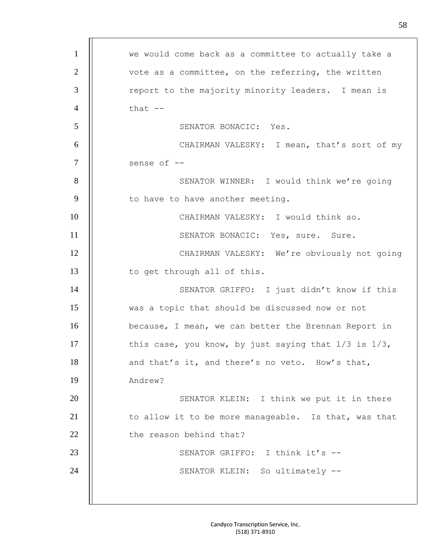| $\mathbf{1}$   | we would come back as a committee to actually take a      |
|----------------|-----------------------------------------------------------|
| $\overline{2}$ | vote as a committee, on the referring, the written        |
| 3              | report to the majority minority leaders. I mean is        |
| $\overline{4}$ | that $--$                                                 |
| 5              | SENATOR BONACIC: Yes.                                     |
| 6              | CHAIRMAN VALESKY: I mean, that's sort of my               |
| 7              | sense of --                                               |
| 8              | SENATOR WINNER: I would think we're going                 |
| 9              | to have to have another meeting.                          |
| 10             | CHAIRMAN VALESKY: I would think so.                       |
| 11             | SENATOR BONACIC: Yes, sure. Sure.                         |
| 12             | CHAIRMAN VALESKY: We're obviously not going               |
| 13             | to get through all of this.                               |
| 14             | SENATOR GRIFFO: I just didn't know if this                |
| 15             | was a topic that should be discussed now or not           |
| 16             | because, I mean, we can better the Brennan Report in      |
| 17             | this case, you know, by just saying that $1/3$ is $1/3$ , |
| 18             | and that's it, and there's no veto. How's that,           |
| 19             | Andrew?                                                   |
| 20             | SENATOR KLEIN: I think we put it in there                 |
| 21             | to allow it to be more manageable. Is that, was that      |
| 22             | the reason behind that?                                   |
| 23             | SENATOR GRIFFO: I think it's --                           |
| 24             | SENATOR KLEIN: So ultimately --                           |
|                |                                                           |
|                |                                                           |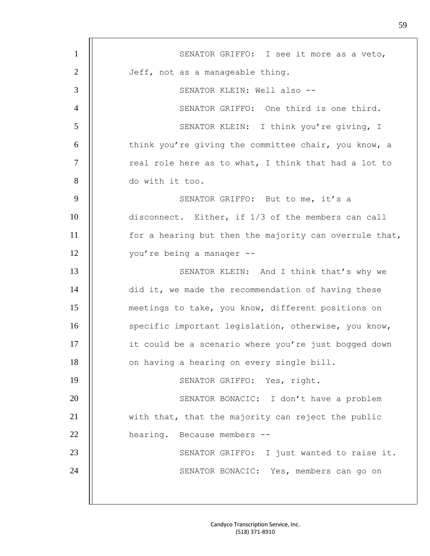| $\mathbf{1}$   | SENATOR GRIFFO: I see it more as a veto,               |
|----------------|--------------------------------------------------------|
| $\overline{2}$ | Jeff, not as a manageable thing.                       |
| 3              | SENATOR KLEIN: Well also --                            |
| $\overline{4}$ | SENATOR GRIFFO: One third is one third.                |
| 5              | SENATOR KLEIN: I think you're giving, I                |
| 6              | think you're giving the committee chair, you know, a   |
| $\overline{7}$ | real role here as to what, I think that had a lot to   |
| 8              | do with it too.                                        |
| 9              | SENATOR GRIFFO: But to me, it's a                      |
| 10             | disconnect. Either, if 1/3 of the members can call     |
| 11             | for a hearing but then the majority can overrule that, |
| 12             | you're being a manager --                              |
| 13             | SENATOR KLEIN: And I think that's why we               |
| 14             | did it, we made the recommendation of having these     |
| 15             | meetings to take, you know, different positions on     |
| 16             | specific important legislation, otherwise, you know,   |
| 17             | it could be a scenario where you're just bogged down   |
| 18             | on having a hearing on every single bill.              |
| 19             | SENATOR GRIFFO: Yes, right.                            |
| 20             | SENATOR BONACIC: I don't have a problem                |
| 21             | with that, that the majority can reject the public     |
| 22             | hearing. Because members --                            |
| 23             | SENATOR GRIFFO: I just wanted to raise it.             |
| 24             | SENATOR BONACIC: Yes, members can go on                |
|                |                                                        |
|                |                                                        |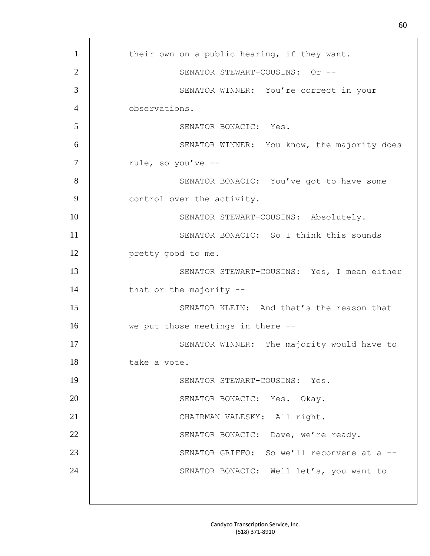| $\mathbf{1}$   | their own on a public hearing, if they want. |
|----------------|----------------------------------------------|
| $\overline{2}$ | SENATOR STEWART-COUSINS: Or --               |
| $\mathfrak{Z}$ | SENATOR WINNER: You're correct in your       |
| $\overline{4}$ | observations.                                |
| 5              | SENATOR BONACIC: Yes.                        |
| 6              | SENATOR WINNER: You know, the majority does  |
| $\tau$         | rule, so you've --                           |
| 8              | SENATOR BONACIC: You've got to have some     |
| 9              | control over the activity.                   |
| 10             | SENATOR STEWART-COUSINS: Absolutely.         |
| 11             | SENATOR BONACIC: So I think this sounds      |
| 12             | pretty good to me.                           |
| 13             | SENATOR STEWART-COUSINS: Yes, I mean either  |
| 14             | that or the majority $-$ -                   |
| 15             | SENATOR KLEIN: And that's the reason that    |
| 16             | we put those meetings in there --            |
| 17             | SENATOR WINNER: The majority would have to   |
| 18             | take a vote.                                 |
| 19             | SENATOR STEWART-COUSINS: Yes.                |
| 20             | SENATOR BONACIC: Yes. Okay.                  |
| 21             | CHAIRMAN VALESKY: All right.                 |
| 22             | SENATOR BONACIC: Dave, we're ready.          |
| 23             | SENATOR GRIFFO: So we'll reconvene at a --   |
| 24             | SENATOR BONACIC: Well let's, you want to     |
|                |                                              |
|                |                                              |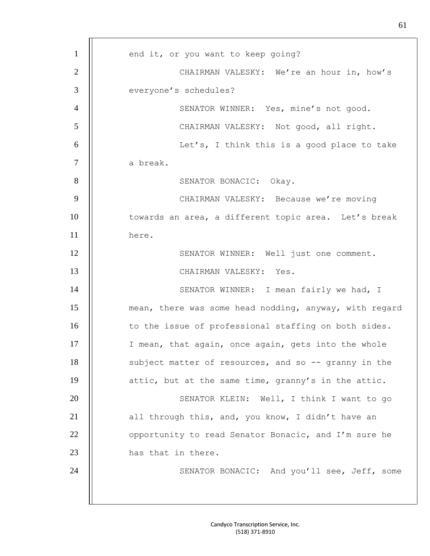1 | end it, or you want to keep going? 2 | CHAIRMAN VALESKY: We're an hour in, how's 3 | everyone's schedules? 4 | SENATOR WINNER: Yes, mine's not good. 5 CHAIRMAN VALESKY: Not good, all right. 6 | Ket's, I think this is a good place to take 7 a break. 8 | SENATOR BONACIC: Okay. 9 | CHAIRMAN VALESKY: Because we're moving 10 | towards an area, a different topic area. Let's break 11 here. 12 | SENATOR WINNER: Well just one comment. 13 || CHAIRMAN VALESKY: Yes. 14 | SENATOR WINNER: I mean fairly we had, I 15 | mean, there was some head nodding, anyway, with regard 16 | to the issue of professional staffing on both sides. 17 | I mean, that again, once again, gets into the whole 18 | subject matter of resources, and so -- granny in the 19 | attic, but at the same time, granny's in the attic. 20 | SENATOR KLEIN: Well, I think I want to go 21  $\parallel$  all through this, and, you know, I didn't have an 22 | opportunity to read Senator Bonacic, and I'm sure he 23 || has that in there. 24 | SENATOR BONACIC: And you'll see, Jeff, some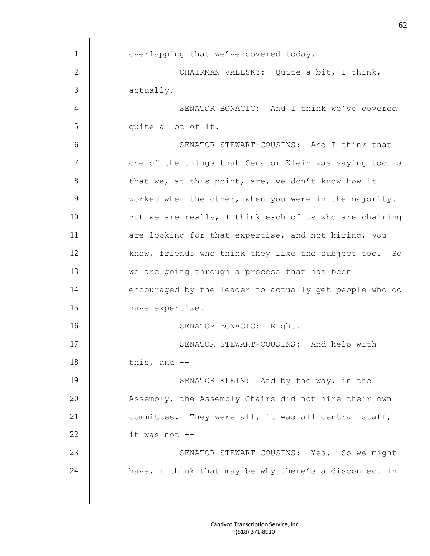1 | overlapping that we've covered today. 2 | CHAIRMAN VALESKY: Quite a bit, I think, 3 actually. 4 | SENATOR BONACIC: And I think we've covered 5 || quite a lot of it. 6 SENATOR STEWART-COUSINS: And I think that 7 | one of the things that Senator Klein was saying too is  $8$  || that we, at this point, are, we don't know how it  $9$   $\parallel$  worked when the other, when you were in the majority. 10 || But we are really, I think each of us who are chairing 11 | are looking for that expertise, and not hiring, you 12 | know, friends who think they like the subject too. So 13 | we are going through a process that has been 14 | encouraged by the leader to actually get people who do 15 have expertise. 16 || SENATOR BONACIC: Right. 17 | | SENATOR STEWART-COUSINS: And help with  $18$  || this, and  $-$ 19 | SENATOR KLEIN: And by the way, in the 20 | Assembly, the Assembly Chairs did not hire their own 21 | committee. They were all, it was all central staff,  $22$  || it was not --23 | SENATOR STEWART-COUSINS: Yes. So we might 24  $\parallel$  have, I think that may be why there's a disconnect in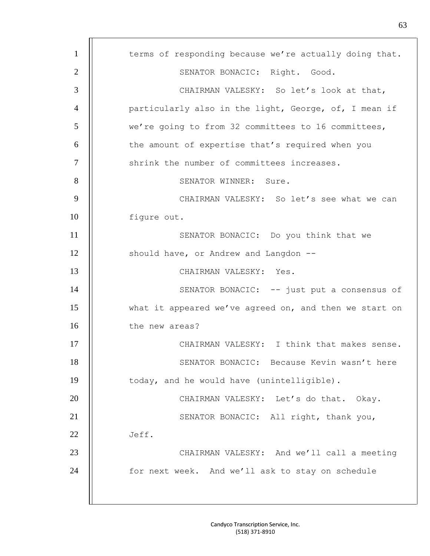| $\mathbf{1}$   | terms of responding because we're actually doing that. |
|----------------|--------------------------------------------------------|
| $\overline{2}$ | SENATOR BONACIC: Right. Good.                          |
| 3              | CHAIRMAN VALESKY: So let's look at that,               |
| $\overline{4}$ | particularly also in the light, George, of, I mean if  |
| 5              | we're going to from 32 committees to 16 committees,    |
| 6              | the amount of expertise that's required when you       |
| $\overline{7}$ | shrink the number of committees increases.             |
| 8              | SENATOR WINNER: Sure.                                  |
| 9              | CHAIRMAN VALESKY: So let's see what we can             |
| 10             | figure out.                                            |
| 11             | SENATOR BONACIC: Do you think that we                  |
| 12             | should have, or Andrew and Langdon --                  |
| 13             | CHAIRMAN VALESKY: Yes.                                 |
| 14             | SENATOR BONACIC: -- just put a consensus of            |
| 15             | what it appeared we've agreed on, and then we start on |
| 16             | the new areas?                                         |
| 17             | CHAIRMAN VALESKY: I think that makes sense.            |
| 18             | SENATOR BONACIC: Because Kevin wasn't here             |
| 19             | today, and he would have (unintelligible).             |
| 20             | CHAIRMAN VALESKY: Let's do that. Okay.                 |
| 21             | SENATOR BONACIC: All right, thank you,                 |
| 22             | Jeff.                                                  |
| 23             | CHAIRMAN VALESKY: And we'll call a meeting             |
| 24             | for next week. And we'll ask to stay on schedule       |
|                |                                                        |
|                |                                                        |